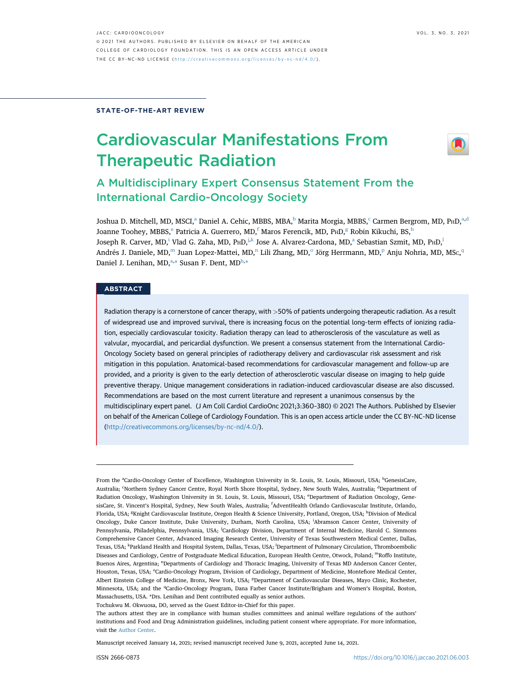#### STATE-OF-THE-ART REVIEW

# Cardiovascular Manifestations From Therapeutic Radiation



## A Multidisciplinary Expert Consensus Statement From the International Cardio-Oncology Society

Joshua D. Mitchell, MD, MSCI,<sup>a</sup> Daniel A. Cehic, MBBS, MBA,<sup>b</sup> Marita Morgia, MBBS,<sup>c</sup> Carmen Bergrom, MD, PHD,<sup>a,d</sup> Joanne Toohey, MBBS, ePatricia A. Guerrero, MD, fMaros Ferencik, MD, PHD, <sup>g</sup> Robin Kikuchi, BS, h Joseph R. Carver, MD,<sup>i</sup> Vlad G. Zaha, MD, P<sub>H</sub>D,<sup>j,k</sup> Jose A. Alvarez-Cardona, MD,<sup>a</sup> Sebastian Szmit, MD, P<sub>H</sub>D,<sup>l</sup> Andrés J. Daniele, MD,<sup>m</sup> Juan Lopez-Mattei, MD,<sup>n</sup> Lili Zhang, MD, $^{\circ}$  Jörg Herrmann, MD, $^{\rm p}$  Anju Nohria, MD, MSc,<sup>q</sup> Daniel J. Lenihan, MD,<sup>a,\*</sup> Susan F. Dent, MD<sup>h,\*</sup>

## **ABSTRACT**

Radiation therapy is a cornerstone of cancer therapy, with >50% of patients undergoing therapeutic radiation. As a result of widespread use and improved survival, there is increasing focus on the potential long-term effects of ionizing radiation, especially cardiovascular toxicity. Radiation therapy can lead to atherosclerosis of the vasculature as well as valvular, myocardial, and pericardial dysfunction. We present a consensus statement from the International Cardio-Oncology Society based on general principles of radiotherapy delivery and cardiovascular risk assessment and risk mitigation in this population. Anatomical-based recommendations for cardiovascular management and follow-up are provided, and a priority is given to the early detection of atherosclerotic vascular disease on imaging to help guide preventive therapy. Unique management considerations in radiation-induced cardiovascular disease are also discussed. Recommendations are based on the most current literature and represent a unanimous consensus by the multidisciplinary expert panel. (J Am Coll Cardiol CardioOnc 2021;3:360–380) © 2021 The Authors. Published by Elsevier on behalf of the American College of Cardiology Foundation. This is an open access article under the CC BY-NC-ND license (http://creativecommons.org/licenses/by-nc-nd/4.0/).

From the <sup>a</sup>Cardio-Oncology Center of Excellence, Washington University in St. Louis, St. Louis, Missouri, USA; <sup>b</sup>GenesisCare, Australia; 'Northern Sydney Cancer Centre, Royal North Shore Hospital, Sydney, New South Wales, Australia; <sup>d</sup>Department of Radiation Oncology, Washington University in St. Louis, St. Louis, Missouri, USA; <sup>e</sup>Department of Radiation Oncology, GenesisCare, St. Vincent's Hospital, Sydney, New South Wales, Australia; <sup>f</sup> AdventHealth Orlando Cardiovascular Institute, Orlando, Florida, USA; <sup>g</sup>Knight Cardiovascular Institute, Oregon Health & Science University, Portland, Oregon, USA; <sup>h</sup>Division of Medical Oncology, Duke Cancer Institute, Duke University, Durham, North Carolina, USA; <sup>i</sup>Abramson Cancer Center, University of Pennsylvania, Philadelphia, Pennsylvania, USA; <sup>j</sup>Cardiology Division, Department of Internal Medicine, Harold C. Simmons Comprehensive Cancer Center, Advanced Imaging Research Center, University of Texas Southwestern Medical Center, Dallas, Texas, USA; <sup>k</sup>Parkland Health and Hospital System, Dallas, Texas, USA; <sup>l</sup>Department of Pulmonary Circulation, Thromboembolic Diseases and Cardiology, Centre of Postgraduate Medical Education, European Health Centre, Otwock, Poland; mRoffo Institute, Buenos Aires, Argentina; <sup>n</sup>Departments of Cardiology and Thoracic Imaging, University of Texas MD Anderson Cancer Center, Houston, Texas, USA; °Cardio-Oncology Program, Division of Cardiology, Department of Medicine, Montefiore Medical Center, Albert Einstein College of Medicine, Bronx, New York, USA; <sup>p</sup>Department of Cardiovascular Diseases, Mayo Clinic, Rochester, Minnesota, USA; and the <sup>q</sup>Cardio-Oncology Program, Dana Farber Cancer Institute/Brigham and Women's Hospital, Boston, Massachusetts, USA. \*Drs. Lenihan and Dent contributed equally as senior authors.

Tochukwu M. Okwuosa, DO, served as the Guest Editor-in-Chief for this paper.

The authors attest they are in compliance with human studies committees and animal welfare regulations of the authors' institutions and Food and Drug Administration guidelines, including patient consent where appropriate. For more information, visit the Author Center.

Manuscript received January 14, 2021; revised manuscript received June 9, 2021, accepted June 14, 2021.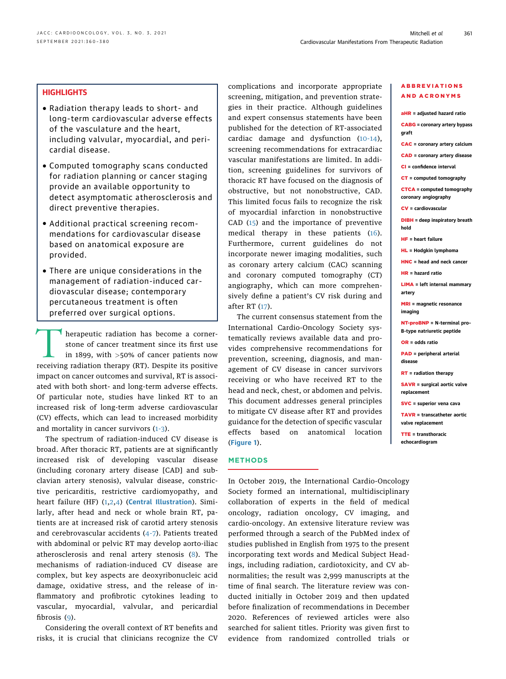## **HIGHLIGHTS**

- Radiation therapy leads to short- and long-term cardiovascular adverse effects of the vasculature and the heart, including valvular, myocardial, and pericardial disease.
- Computed tomography scans conducted for radiation planning or cancer staging provide an available opportunity to detect asymptomatic atherosclerosis and direct preventive therapies.
- Additional practical screening recommendations for cardiovascular disease based on anatomical exposure are provided.
- There are unique considerations in the management of radiation-induced cardiovascular disease; contemporary percutaneous treatment is often preferred over surgical options.

herapeutic radiation has become a corner-<br>stone of cancer treatment since its first use<br>in 1899, with >50% of cancer patients now<br>receiving radiation therapy (RT). Despite its positive stone of cancer treatment since its first use in 1899, with >50% of cancer patients now receiving radiation therapy (RT). Despite its positive impact on cancer outcomes and survival, RT is associated with both short- and long-term adverse effects. Of particular note, studies have linked RT to an increased risk of long-term adverse cardiovascular (CV) effects, which can lead to increased morbidity and mortality in cancer survivors (1-3).

The spectrum of radiation-induced CV disease is broad. After thoracic RT, patients are at significantly increased risk of developing vascular disease (including coronary artery disease [CAD] and subclavian artery stenosis), valvular disease, constrictive pericarditis, restrictive cardiomyopathy, and heart failure (HF) (1,2,4) (Central Illustration). Similarly, after head and neck or whole brain RT, patients are at increased risk of carotid artery stenosis and cerebrovascular accidents (4-7). Patients treated with abdominal or pelvic RT may develop aorto-iliac atherosclerosis and renal artery stenosis (8). The mechanisms of radiation-induced CV disease are complex, but key aspects are deoxyribonucleic acid damage, oxidative stress, and the release of inflammatory and profibrotic cytokines leading to vascular, myocardial, valvular, and pericardial fibrosis (9).

Considering the overall context of RT benefits and risks, it is crucial that clinicians recognize the CV

complications and incorporate appropriate screening, mitigation, and prevention strategies in their practice. Although guidelines and expert consensus statements have been published for the detection of RT-associated cardiac damage and dysfunction (10-14), screening recommendations for extracardiac vascular manifestations are limited. In addition, screening guidelines for survivors of thoracic RT have focused on the diagnosis of obstructive, but not nonobstructive, CAD. This limited focus fails to recognize the risk of myocardial infarction in nonobstructive CAD (15) and the importance of preventive medical therapy in these patients (16). Furthermore, current guidelines do not incorporate newer imaging modalities, such as coronary artery calcium (CAC) scanning and coronary computed tomography (CT) angiography, which can more comprehensively define a patient's CV risk during and after RT (17).

The current consensus statement from the International Cardio-Oncology Society systematically reviews available data and provides comprehensive recommendations for prevention, screening, diagnosis, and management of CV disease in cancer survivors receiving or who have received RT to the head and neck, chest, or abdomen and pelvis. This document addresses general principles to mitigate CV disease after RT and provides guidance for the detection of specific vascular effects based on anatomical location (Figure 1).

#### **METHODS**

In October 2019, the International Cardio-Oncology Society formed an international, multidisciplinary collaboration of experts in the field of medical oncology, radiation oncology, CV imaging, and cardio-oncology. An extensive literature review was performed through a search of the PubMed index of studies published in English from 1975 to the present incorporating text words and Medical Subject Headings, including radiation, cardiotoxicity, and CV abnormalities; the result was 2,999 manuscripts at the time of final search. The literature review was conducted initially in October 2019 and then updated before finalization of recommendations in December 2020. References of reviewed articles were also searched for salient titles. Priority was given first to evidence from randomized controlled trials or

#### ABBREVIATIONS AND ACRONYMS

aHR = adjusted hazard ratio CABG = coronary artery bypass graft CAC = coronary artery calcium CAD = coronary artery disease CI = confidence interval CT = computed tomography CTCA = computed tomography coronary angiography CV = cardiovascular DIBH = deep inspiratory breath hold HF = heart failure HL = Hodgkin lymphoma HNC = head and neck cancer  $HD =$  hazard ratio LIMA = left internal mammary artery MRI = magnetic resonance imaging NT-proBNP = N-terminal pro– B-type natriuretic peptide OR = odds ratio PAD = peripheral arterial disease RT = radiation therapy SAVR = surgical aortic valve replacement SVC = superior vena cava TAVR = transcatheter aortic valve replacement TTE = transthoracic echocardiogram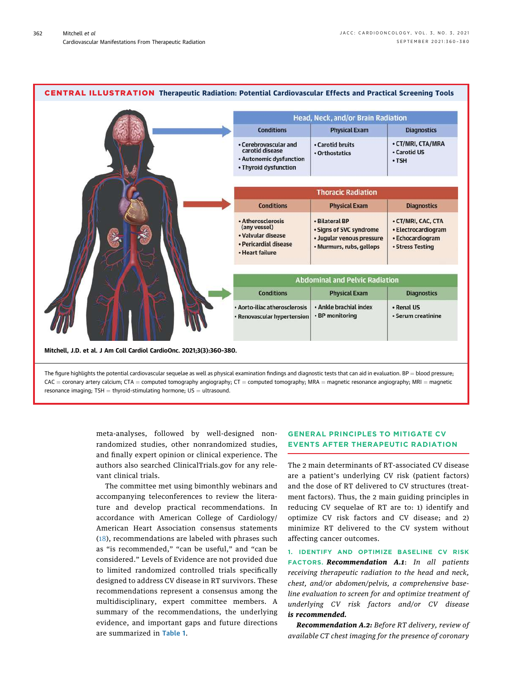

 $CAC =$  coronary artery calcium; CTA = computed tomography angiography; CT = computed tomography; MRA = magnetic resonance angiography; MRI = magnetic resonance imaging;  $TSH =$  thyroid-stimulating hormone;  $US =$  ultrasound.

> meta-analyses, followed by well-designed nonrandomized studies, other nonrandomized studies, and finally expert opinion or clinical experience. The authors also searched ClinicalTrials.gov for any relevant clinical trials.

> The committee met using bimonthly webinars and accompanying teleconferences to review the literature and develop practical recommendations. In accordance with American College of Cardiology/ American Heart Association consensus statements (18), recommendations are labeled with phrases such as "is recommended," "can be useful," and "can be considered." Levels of Evidence are not provided due to limited randomized controlled trials specifically designed to address CV disease in RT survivors. These recommendations represent a consensus among the multidisciplinary, expert committee members. A summary of the recommendations, the underlying evidence, and important gaps and future directions are summarized in Table 1.

## GENERAL PRINCIPLES TO MITIGATE CV EVENTS AFTER THERAPEUTIC RADIATION

The 2 main determinants of RT-associated CV disease are a patient's underlying CV risk (patient factors) and the dose of RT delivered to CV structures (treatment factors). Thus, the 2 main guiding principles in reducing CV sequelae of RT are to: 1) identify and optimize CV risk factors and CV disease; and 2) minimize RT delivered to the CV system without affecting cancer outcomes.

1. IDENTIFY AND OPTIMIZE BASELINE CV RISK FACTORS. Recommendation A.1: In all patients receiving therapeutic radiation to the head and neck, chest, and/or abdomen/pelvis, a comprehensive baseline evaluation to screen for and optimize treatment of underlying CV risk factors and/or CV disease is recommended.

Recommendation A.2: Before RT delivery, review of available CT chest imaging for the presence of coronary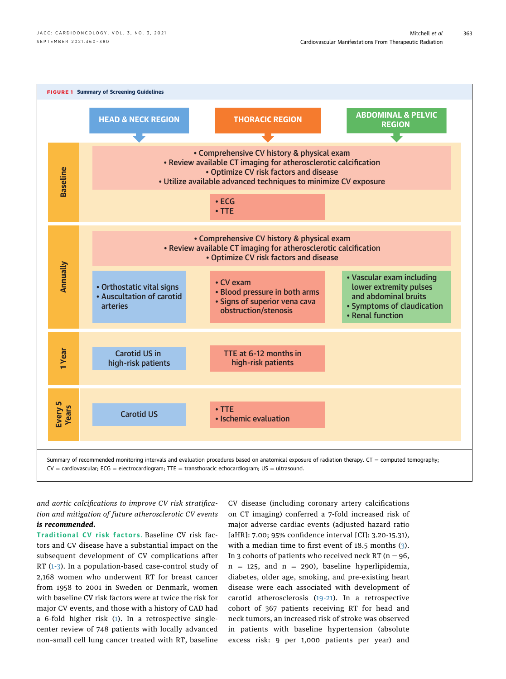

and aortic calcifications to improve CV risk stratification and mitigation of future atherosclerotic CV events is recommended.

Traditional CV risk factors. Baseline CV risk factors and CV disease have a substantial impact on the subsequent development of CV complications after RT (1-3). In a population-based case-control study of 2,168 women who underwent RT for breast cancer from 1958 to 2001 in Sweden or Denmark, women with baseline CV risk factors were at twice the risk for major CV events, and those with a history of CAD had a 6-fold higher risk (1). In a retrospective singlecenter review of 748 patients with locally advanced non–small cell lung cancer treated with RT, baseline

CV disease (including coronary artery calcifications on CT imaging) conferred a 7-fold increased risk of major adverse cardiac events (adjusted hazard ratio [aHR]: 7.00; 95% confidence interval [CI]: 3.20-15.31), with a median time to first event of 18.5 months (3). In 3 cohorts of patients who received neck RT ( $n = 96$ ,  $n = 125$ , and  $n = 290$ ), baseline hyperlipidemia, diabetes, older age, smoking, and pre-existing heart disease were each associated with development of carotid atherosclerosis (19-21). In a retrospective cohort of 367 patients receiving RT for head and neck tumors, an increased risk of stroke was observed in patients with baseline hypertension (absolute excess risk: 9 per 1,000 patients per year) and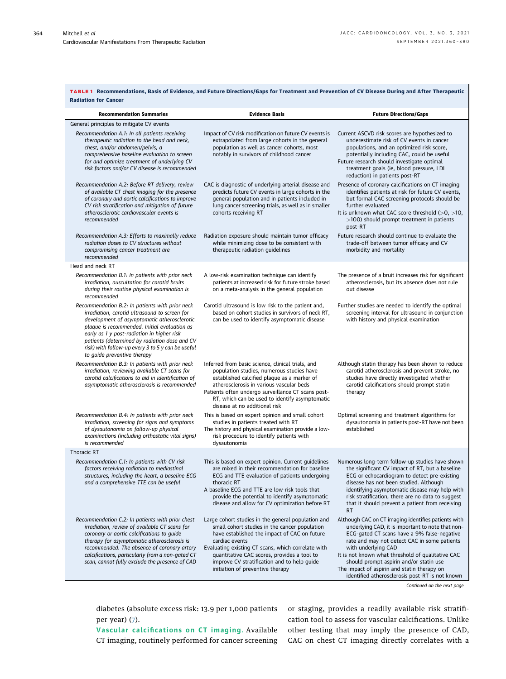| TABLE 1 Recommendations, Basis of Evidence, and Future Directions/Gaps for Treatment and Prevention of CV Disease During and After Therapeutic<br><b>Radiation for Cancer</b>                                                                                                                                                                                                      |                                                                                                                                                                                                                                                                                                                                                               |                                                                                                                                                                                                                                                                                                                                                                                                                                  |  |  |
|------------------------------------------------------------------------------------------------------------------------------------------------------------------------------------------------------------------------------------------------------------------------------------------------------------------------------------------------------------------------------------|---------------------------------------------------------------------------------------------------------------------------------------------------------------------------------------------------------------------------------------------------------------------------------------------------------------------------------------------------------------|----------------------------------------------------------------------------------------------------------------------------------------------------------------------------------------------------------------------------------------------------------------------------------------------------------------------------------------------------------------------------------------------------------------------------------|--|--|
| <b>Recommendation Summaries</b>                                                                                                                                                                                                                                                                                                                                                    | <b>Evidence Basis</b>                                                                                                                                                                                                                                                                                                                                         | <b>Future Directions/Gaps</b>                                                                                                                                                                                                                                                                                                                                                                                                    |  |  |
| General principles to mitigate CV events                                                                                                                                                                                                                                                                                                                                           |                                                                                                                                                                                                                                                                                                                                                               |                                                                                                                                                                                                                                                                                                                                                                                                                                  |  |  |
| Recommendation A.1: In all patients receiving<br>therapeutic radiation to the head and neck,<br>chest, and/or abdomen/pelvis, a<br>comprehensive baseline evaluation to screen<br>for and optimize treatment of underlying CV<br>risk factors and/or CV disease is recommended                                                                                                     | Impact of CV risk modification on future CV events is<br>extrapolated from large cohorts in the general<br>population as well as cancer cohorts, most<br>notably in survivors of childhood cancer                                                                                                                                                             | Current ASCVD risk scores are hypothesized to<br>underestimate risk of CV events in cancer<br>populations, and an optimized risk score,<br>potentially including CAC, could be useful<br>Future research should investigate optimal<br>treatment goals (ie, blood pressure, LDL<br>reduction) in patients post-RT                                                                                                                |  |  |
| Recommendation A.2: Before RT delivery, review<br>of available CT chest imaging for the presence<br>of coronary and aortic calcifications to improve<br>CV risk stratification and mitigation of future<br>atherosclerotic cardiovascular events is<br>recommended                                                                                                                 | CAC is diagnostic of underlying arterial disease and<br>predicts future CV events in large cohorts in the<br>general population and in patients included in<br>lung cancer screening trials, as well as in smaller<br>cohorts receiving RT                                                                                                                    | Presence of coronary calcifications on CT imaging<br>identifies patients at risk for future CV events,<br>but formal CAC screening protocols should be<br>further evaluated<br>It is unknown what CAC score threshold (>0, >10,<br>>100) should prompt treatment in patients<br>post-RT                                                                                                                                          |  |  |
| Recommendation A.3: Efforts to maximally reduce<br>radiation doses to CV structures without<br>compromising cancer treatment are<br>recommended                                                                                                                                                                                                                                    | Radiation exposure should maintain tumor efficacy<br>while minimizing dose to be consistent with<br>therapeutic radiation guidelines                                                                                                                                                                                                                          | Future research should continue to evaluate the<br>trade-off between tumor efficacy and CV<br>morbidity and mortality                                                                                                                                                                                                                                                                                                            |  |  |
| Head and neck RT                                                                                                                                                                                                                                                                                                                                                                   |                                                                                                                                                                                                                                                                                                                                                               |                                                                                                                                                                                                                                                                                                                                                                                                                                  |  |  |
| Recommendation B.1: In patients with prior neck<br>irradiation, auscultation for carotid bruits<br>during their routine physical examination is<br>recommended                                                                                                                                                                                                                     | A low-risk examination technique can identify<br>patients at increased risk for future stroke based<br>on a meta-analysis in the general population                                                                                                                                                                                                           | The presence of a bruit increases risk for significant<br>atherosclerosis, but its absence does not rule<br>out disease                                                                                                                                                                                                                                                                                                          |  |  |
| Recommendation B.2: In patients with prior neck<br>irradiation, carotid ultrasound to screen for<br>development of asymptomatic atherosclerotic<br>plaque is recommended. Initial evaluation as<br>early as 1 y post-radiation in higher risk<br>patients (determined by radiation dose and CV<br>risk) with follow-up every 3 to 5 y can be useful<br>to guide preventive therapy | Carotid ultrasound is low risk to the patient and,<br>based on cohort studies in survivors of neck RT,<br>can be used to identify asymptomatic disease                                                                                                                                                                                                        | Further studies are needed to identify the optimal<br>screening interval for ultrasound in conjunction<br>with history and physical examination                                                                                                                                                                                                                                                                                  |  |  |
| Recommendation B.3: In patients with prior neck<br>irradiation, reviewing available CT scans for<br>carotid calcifications to aid in identification of<br>asymptomatic atherosclerosis is recommended                                                                                                                                                                              | Inferred from basic science, clinical trials, and<br>population studies, numerous studies have<br>established calcified plaque as a marker of<br>atherosclerosis in various vascular beds<br>Patients often undergo surveillance CT scans post-<br>RT, which can be used to identify asymptomatic<br>disease at no additional risk                            | Although statin therapy has been shown to reduce<br>carotid atherosclerosis and prevent stroke, no<br>studies have directly investigated whether<br>carotid calcifications should prompt statin<br>therapy                                                                                                                                                                                                                       |  |  |
| Recommendation B.4: In patients with prior neck<br>irradiation, screening for signs and symptoms<br>of dysautonomia on follow-up physical<br>examinations (including orthostatic vital signs)<br>is recommended                                                                                                                                                                    | This is based on expert opinion and small cohort<br>studies in patients treated with RT<br>The history and physical examination provide a low-<br>risk procedure to identify patients with<br>dysautonomia                                                                                                                                                    | Optimal screening and treatment algorithms for<br>dysautonomia in patients post-RT have not been<br>established                                                                                                                                                                                                                                                                                                                  |  |  |
| Thoracic RT                                                                                                                                                                                                                                                                                                                                                                        |                                                                                                                                                                                                                                                                                                                                                               |                                                                                                                                                                                                                                                                                                                                                                                                                                  |  |  |
| Recommendation C.1: In patients with CV risk<br>factors receiving radiation to mediastinal<br>structures, including the heart, a baseline ECG<br>and a comprehensive TTE can be useful                                                                                                                                                                                             | This is based on expert opinion. Current quidelines<br>are mixed in their recommendation for baseline<br>ECG and TTE evaluation of patients undergoing<br>thoracic RT<br>A baseline ECG and TTE are low-risk tools that<br>provide the potential to identify asymptomatic<br>disease and allow for CV optimization before RT                                  | Numerous long-term follow-up studies have shown<br>the significant CV impact of RT, but a baseline<br>ECG or echocardiogram to detect pre-existing<br>disease has not been studied. Although<br>identifying asymptomatic disease may help with<br>risk stratification, there are no data to suggest<br>that it should prevent a patient from receiving<br><b>RT</b>                                                              |  |  |
| Recommendation C.2: In patients with prior chest<br>irradiation, review of available CT scans for<br>coronary or aortic calcifications to guide<br>therapy for asymptomatic atherosclerosis is<br>recommended. The absence of coronary artery<br>calcifications, particularly from a non-gated CT<br>scan, cannot fully exclude the presence of CAD                                | Large cohort studies in the general population and<br>small cohort studies in the cancer population<br>have established the impact of CAC on future<br>cardiac events<br>Evaluating existing CT scans, which correlate with<br>quantitative CAC scores, provides a tool to<br>improve CV stratification and to help quide<br>initiation of preventive therapy | Although CAC on CT imaging identifies patients with<br>underlying CAD, it is important to note that non-<br>ECG-gated CT scans have a 9% false-negative<br>rate and may not detect CAC in some patients<br>with underlying CAD<br>It is not known what threshold of qualitative CAC<br>should prompt aspirin and/or statin use<br>The impact of aspirin and statin therapy on<br>identified atherosclerosis post-RT is not known |  |  |

Continued on the next page

diabetes (absolute excess risk: 13.9 per 1,000 patients per year) (7).

Vascular calcifications on CT imaging. Available CT imaging, routinely performed for cancer screening or staging, provides a readily available risk stratification tool to assess for vascular calcifications. Unlike other testing that may imply the presence of CAD, CAC on chest CT imaging directly correlates with a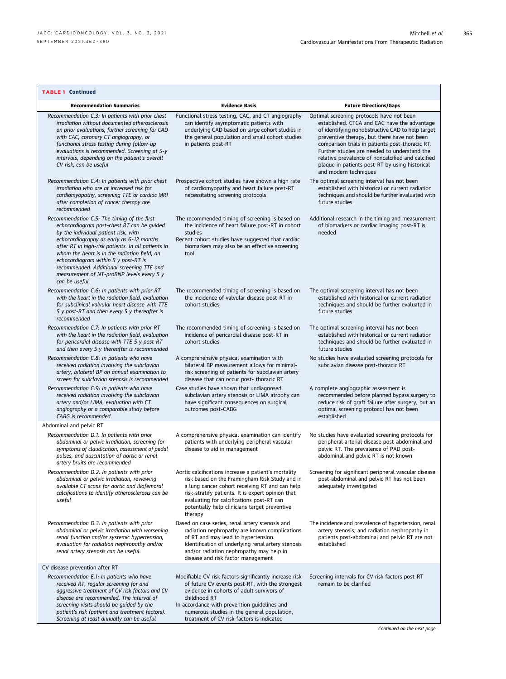| <b>TABLE 1 Continued</b>                                                                                                                                                                                                                                                                                                                                                                                                               |                                                                                                                                                                                                                                                                                                                        |                                                                                                                                                                                                                                                                                                                                                                                                                                 |
|----------------------------------------------------------------------------------------------------------------------------------------------------------------------------------------------------------------------------------------------------------------------------------------------------------------------------------------------------------------------------------------------------------------------------------------|------------------------------------------------------------------------------------------------------------------------------------------------------------------------------------------------------------------------------------------------------------------------------------------------------------------------|---------------------------------------------------------------------------------------------------------------------------------------------------------------------------------------------------------------------------------------------------------------------------------------------------------------------------------------------------------------------------------------------------------------------------------|
| <b>Recommendation Summaries</b>                                                                                                                                                                                                                                                                                                                                                                                                        | <b>Evidence Basis</b>                                                                                                                                                                                                                                                                                                  | <b>Future Directions/Gaps</b>                                                                                                                                                                                                                                                                                                                                                                                                   |
| Recommendation C.3: In patients with prior chest<br>irradiation without documented atherosclerosis<br>on prior evaluations, further screening for CAD<br>with CAC, coronary CT angiography, or<br>functional stress testing during follow-up<br>evaluations is recommended. Screening at 5-y<br>intervals, depending on the patient's overall<br>CV risk, can be useful                                                                | Functional stress testing, CAC, and CT angiography<br>can identify asymptomatic patients with<br>underlying CAD based on large cohort studies in<br>the general population and small cohort studies<br>in patients post-RT                                                                                             | Optimal screening protocols have not been<br>established. CTCA and CAC have the advantage<br>of identifying nonobstructive CAD to help target<br>preventive therapy, but there have not been<br>comparison trials in patients post-thoracic RT.<br>Further studies are needed to understand the<br>relative prevalence of noncalcified and calcified<br>plaque in patients post-RT by using historical<br>and modern techniques |
| Recommendation C.4: In patients with prior chest<br>irradiation who are at increased risk for<br>cardiomyopathy, screening TTE or cardiac MRI<br>after completion of cancer therapy are<br>recommended                                                                                                                                                                                                                                 | Prospective cohort studies have shown a high rate<br>of cardiomyopathy and heart failure post-RT<br>necessitating screening protocols                                                                                                                                                                                  | The optimal screening interval has not been<br>established with historical or current radiation<br>techniques and should be further evaluated with<br>future studies                                                                                                                                                                                                                                                            |
| Recommendation C.5: The timing of the first<br>echocardiogram post-chest RT can be guided<br>by the individual patient risk, with<br>echocardiography as early as 6-12 months<br>after RT in high-risk patients. In all patients in<br>whom the heart is in the radiation field, an<br>echocardiogram within 5 y post-RT is<br>recommended. Additional screening TTE and<br>measurement of NT-proBNP levels every 5 y<br>can be useful | The recommended timing of screening is based on<br>the incidence of heart failure post-RT in cohort<br>studies<br>Recent cohort studies have suggested that cardiac<br>biomarkers may also be an effective screening<br>tool                                                                                           | Additional research in the timing and measurement<br>of biomarkers or cardiac imaging post-RT is<br>needed                                                                                                                                                                                                                                                                                                                      |
| Recommendation C.6: In patients with prior RT<br>with the heart in the radiation field, evaluation<br>for subclinical valvular heart disease with TTE<br>5 y post-RT and then every 5 y thereafter is<br>recommended                                                                                                                                                                                                                   | The recommended timing of screening is based on<br>the incidence of valvular disease post-RT in<br>cohort studies                                                                                                                                                                                                      | The optimal screening interval has not been<br>established with historical or current radiation<br>techniques and should be further evaluated in<br>future studies                                                                                                                                                                                                                                                              |
| Recommendation C.7: In patients with prior RT<br>with the heart in the radiation field, evaluation<br>for pericardial disease with TTE 5 y post-RT<br>and then every 5 y thereafter is recommended                                                                                                                                                                                                                                     | The recommended timing of screening is based on<br>incidence of pericardial disease post-RT in<br>cohort studies                                                                                                                                                                                                       | The optimal screening interval has not been<br>established with historical or current radiation<br>techniques and should be further evaluated in<br>future studies                                                                                                                                                                                                                                                              |
| Recommendation C.8: In patients who have<br>received radiation involving the subclavian<br>artery, bilateral BP on annual examination to<br>screen for subclavian stenosis is recommended                                                                                                                                                                                                                                              | A comprehensive physical examination with<br>bilateral BP measurement allows for minimal-<br>risk screening of patients for subclavian artery<br>disease that can occur post- thoracic RT                                                                                                                              | No studies have evaluated screening protocols for<br>subclavian disease post-thoracic RT                                                                                                                                                                                                                                                                                                                                        |
| Recommendation C.9: In patients who have<br>received radiation involving the subclavian<br>artery and/or LIMA, evaluation with CT<br>angiography or a comparable study before<br>CABG is recommended                                                                                                                                                                                                                                   | Case studies have shown that undiagnosed<br>subclavian artery stenosis or LIMA atrophy can<br>have significant consequences on surgical<br>outcomes post-CABG                                                                                                                                                          | A complete angiographic assessment is<br>recommended before planned bypass surgery to<br>reduce risk of graft failure after surgery, but an<br>optimal screening protocol has not been<br>established                                                                                                                                                                                                                           |
| Abdominal and pelvic RT                                                                                                                                                                                                                                                                                                                                                                                                                |                                                                                                                                                                                                                                                                                                                        |                                                                                                                                                                                                                                                                                                                                                                                                                                 |
| Recommendation D.1: In patients with prior<br>abdominal or pelvic irradiation, screening for<br>symptoms of claudication, assessment of pedal<br>pulses, and auscultation of aortic or renal<br>artery bruits are recommended                                                                                                                                                                                                          | A comprehensive physical examination can identify<br>patients with underlying peripheral vascular<br>disease to aid in management                                                                                                                                                                                      | No studies have evaluated screening protocols for<br>peripheral arterial disease post-abdominal and<br>pelvic RT. The prevalence of PAD post-<br>abdominal and pelvic RT is not known                                                                                                                                                                                                                                           |
| Recommendation D.2: In patients with prior<br>abdominal or pelvic irradiation, reviewing<br>available CT scans for aortic and iliofemoral<br>calcifications to identify atherosclerosis can be<br>useful                                                                                                                                                                                                                               | Aortic calcifications increase a patient's mortality<br>risk based on the Framingham Risk Study and in<br>a lung cancer cohort receiving RT and can help<br>risk-stratify patients. It is expert opinion that<br>evaluating for calcifications post-RT can<br>potentially help clinicians target preventive<br>therapy | Screening for significant peripheral vascular disease<br>post-abdominal and pelvic RT has not been<br>adequately investigated                                                                                                                                                                                                                                                                                                   |
| Recommendation D.3: In patients with prior<br>abdominal or pelvic irradiation with worsening<br>renal function and/or systemic hypertension,<br>evaluation for radiation nephropathy and/or<br>renal artery stenosis can be useful.                                                                                                                                                                                                    | Based on case series, renal artery stenosis and<br>radiation nephropathy are known complications<br>of RT and may lead to hypertension.<br>Identification of underlying renal artery stenosis<br>and/or radiation nephropathy may help in<br>disease and risk factor management                                        | The incidence and prevalence of hypertension, renal<br>artery stenosis, and radiation nephropathy in<br>patients post-abdominal and pelvic RT are not<br>established                                                                                                                                                                                                                                                            |
| CV disease prevention after RT                                                                                                                                                                                                                                                                                                                                                                                                         |                                                                                                                                                                                                                                                                                                                        |                                                                                                                                                                                                                                                                                                                                                                                                                                 |
| Recommendation E.1: In patients who have<br>received RT, regular screening for and<br>aggressive treatment of CV risk factors and CV<br>disease are recommended. The interval of<br>screening visits should be guided by the<br>patient's risk (patient and treatment factors).<br>Screening at least annually can be useful                                                                                                           | Modifiable CV risk factors significantly increase risk<br>of future CV events post-RT, with the strongest<br>evidence in cohorts of adult survivors of<br>childhood RT<br>In accordance with prevention guidelines and<br>numerous studies in the general population,<br>treatment of CV risk factors is indicated     | Screening intervals for CV risk factors post-RT<br>remain to be clarified                                                                                                                                                                                                                                                                                                                                                       |
|                                                                                                                                                                                                                                                                                                                                                                                                                                        |                                                                                                                                                                                                                                                                                                                        | Continued on the next page                                                                                                                                                                                                                                                                                                                                                                                                      |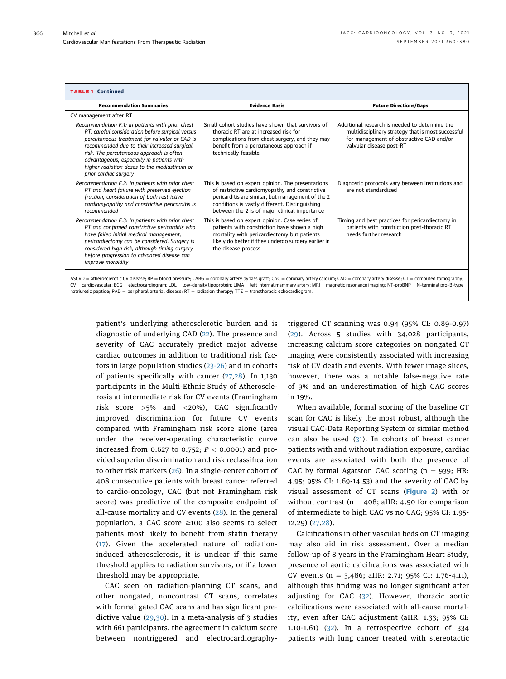| <b>TABLE 1 Continued</b>                                                                                                                                                                                                                                                                                                                                                                                                                                                                                  |                                                                                                                                                                                                                                                              |                                                                                                                                                                              |  |
|-----------------------------------------------------------------------------------------------------------------------------------------------------------------------------------------------------------------------------------------------------------------------------------------------------------------------------------------------------------------------------------------------------------------------------------------------------------------------------------------------------------|--------------------------------------------------------------------------------------------------------------------------------------------------------------------------------------------------------------------------------------------------------------|------------------------------------------------------------------------------------------------------------------------------------------------------------------------------|--|
| <b>Recommendation Summaries</b>                                                                                                                                                                                                                                                                                                                                                                                                                                                                           | <b>Evidence Basis</b>                                                                                                                                                                                                                                        | <b>Future Directions/Gaps</b>                                                                                                                                                |  |
| CV management after RT                                                                                                                                                                                                                                                                                                                                                                                                                                                                                    |                                                                                                                                                                                                                                                              |                                                                                                                                                                              |  |
| Recommendation F.1: In patients with prior chest<br>RT, careful consideration before surgical versus<br>percutaneous treatment for valvular or CAD is<br>recommended due to their increased surgical<br>risk. The percutaneous approach is often<br>advantageous, especially in patients with<br>higher radiation doses to the mediastinum or<br>prior cardiac surgery                                                                                                                                    | Small cohort studies have shown that survivors of<br>thoracic RT are at increased risk for<br>complications from chest surgery, and they may<br>benefit from a percutaneous approach if<br>technically feasible                                              | Additional research is needed to determine the<br>multidisciplinary strategy that is most successful<br>for management of obstructive CAD and/or<br>valvular disease post-RT |  |
| Recommendation F.2: In patients with prior chest<br>RT and heart failure with preserved ejection<br>fraction, consideration of both restrictive<br>cardiomyopathy and constrictive pericarditis is<br>recommended                                                                                                                                                                                                                                                                                         | This is based on expert opinion. The presentations<br>of restrictive cardiomyopathy and constrictive<br>pericarditis are similar, but management of the 2<br>conditions is vastly different. Distinguishing<br>between the 2 is of major clinical importance | Diagnostic protocols vary between institutions and<br>are not standardized                                                                                                   |  |
| Recommendation F.3: In patients with prior chest<br>RT and confirmed constrictive pericarditis who<br>have failed initial medical management,<br>pericardiectomy can be considered. Surgery is<br>considered high risk, although timing surgery<br>before progression to advanced disease can<br><i>improve morbidity</i>                                                                                                                                                                                 | This is based on expert opinion. Case series of<br>patients with constriction have shown a high<br>mortality with pericardiectomy but patients<br>likely do better if they undergo surgery earlier in<br>the disease process                                 | Timing and best practices for pericardiectomy in<br>patients with constriction post-thoracic RT<br>needs further research                                                    |  |
| ASCVD = atherosclerotic CV disease; BP = blood pressure; CABG = coronary artery bypass graft; CAC = coronary artery calcium; CAD = coronary artery disease; CT = computed tomography;<br>CV = cardiovascular; ECG = electrocardiogram; LDL = low-density lipoprotein; LIMA = left internal mammary artery; MRI = magnetic resonance imaging; NT-proBNP = N-terminal pro-B-type<br>natriuretic peptide; PAD = peripheral arterial disease; $RT =$ radiation therapy; $TTE =$ transthoracic echocardiogram. |                                                                                                                                                                                                                                                              |                                                                                                                                                                              |  |

patient's underlying atherosclerotic burden and is diagnostic of underlying CAD (22). The presence and severity of CAC accurately predict major adverse cardiac outcomes in addition to traditional risk factors in large population studies (23-26) and in cohorts of patients specifically with cancer (27,28). In 1,130 participants in the Multi-Ethnic Study of Atherosclerosis at intermediate risk for CV events (Framingham risk score >5% and <20%), CAC significantly improved discrimination for future CV events compared with Framingham risk score alone (area under the receiver-operating characteristic curve increased from 0.627 to 0.752;  $P < 0.0001$ ) and provided superior discrimination and risk reclassification to other risk markers (26). In a single-center cohort of 408 consecutive patients with breast cancer referred to cardio-oncology, CAC (but not Framingham risk score) was predictive of the composite endpoint of all-cause mortality and CV events (28). In the general population, a CAC score  $\geq$ 100 also seems to select patients most likely to benefit from statin therapy (17). Given the accelerated nature of radiationinduced atherosclerosis, it is unclear if this same threshold applies to radiation survivors, or if a lower threshold may be appropriate.

CAC seen on radiation-planning CT scans, and other nongated, noncontrast CT scans, correlates with formal gated CAC scans and has significant predictive value (29,30). In a meta-analysis of 3 studies with 661 participants, the agreement in calcium score between nontriggered and electrocardiography-

triggered CT scanning was 0.94 (95% CI: 0.89-0.97) (29). Across 5 studies with 34,028 participants, increasing calcium score categories on nongated CT imaging were consistently associated with increasing risk of CV death and events. With fewer image slices, however, there was a notable false-negative rate of 9% and an underestimation of high CAC scores in 19%.

When available, formal scoring of the baseline CT scan for CAC is likely the most robust, although the visual CAC-Data Reporting System or similar method can also be used  $(31)$ . In cohorts of breast cancer patients with and without radiation exposure, cardiac events are associated with both the presence of CAC by formal Agatston CAC scoring  $(n = 939; HR:$ 4.95; 95% CI: 1.69-14.53) and the severity of CAC by visual assessment of CT scans (Figure 2) with or without contrast ( $n = 408$ ; aHR: 4.90 for comparison of intermediate to high CAC vs no CAC; 95% CI: 1.95- 12.29) (27,28).

Calcifications in other vascular beds on CT imaging may also aid in risk assessment. Over a median follow-up of 8 years in the Framingham Heart Study, presence of aortic calcifications was associated with CV events (n = 3,486; aHR: 2.71; 95% CI: 1.76-4.11), although this finding was no longer significant after adjusting for CAC (32). However, thoracic aortic calcifications were associated with all-cause mortality, even after CAC adjustment (aHR: 1.33; 95% CI: 1.10-1.61) (32). In a retrospective cohort of 334 patients with lung cancer treated with stereotactic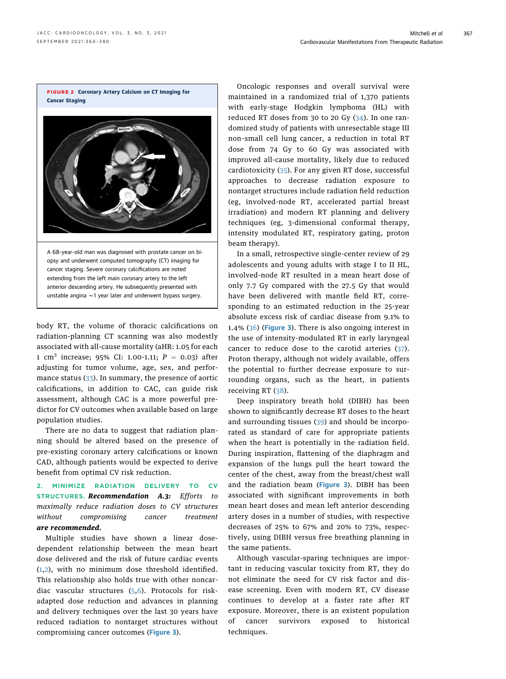body RT, the volume of thoracic calcifications on radiation-planning CT scanning was also modestly associated with all-cause mortality (aHR: 1.05 for each 1 cm<sup>3</sup> increase; 95% CI: 1.00-1.11;  $P = 0.03$ ) after adjusting for tumor volume, age, sex, and performance status (33). In summary, the presence of aortic calcifications, in addition to CAC, can guide risk assessment, although CAC is a more powerful predictor for CV outcomes when available based on large population studies.

There are no data to suggest that radiation planning should be altered based on the presence of pre-existing coronary artery calcifications or known CAD, although patients would be expected to derive benefit from optimal CV risk reduction.

## 2. MINIMIZE RADIATION DELIVERY TO CV STRUCTURES. Recommendation A.3: Efforts to maximally reduce radiation doses to CV structures without compromising cancer treatment are recommended.

Multiple studies have shown a linear dosedependent relationship between the mean heart dose delivered and the risk of future cardiac events (1,2), with no minimum dose threshold identified. This relationship also holds true with other noncardiac vascular structures  $(5,6)$ . Protocols for riskadapted dose reduction and advances in planning and delivery techniques over the last 30 years have reduced radiation to nontarget structures without compromising cancer outcomes (Figure 3).

Oncologic responses and overall survival were maintained in a randomized trial of 1,370 patients with early-stage Hodgkin lymphoma (HL) with reduced RT doses from 30 to 20 Gy  $(34)$ . In one randomized study of patients with unresectable stage III non–small cell lung cancer, a reduction in total RT dose from 74 Gy to 60 Gy was associated with improved all-cause mortality, likely due to reduced cardiotoxicity (35). For any given RT dose, successful approaches to decrease radiation exposure to nontarget structures include radiation field reduction (eg, involved-node RT, accelerated partial breast irradiation) and modern RT planning and delivery techniques (eg, 3-dimensional conformal therapy, intensity modulated RT, respiratory gating, proton beam therapy).

In a small, retrospective single-center review of 29 adolescents and young adults with stage I to II HL, involved-node RT resulted in a mean heart dose of only 7.7 Gy compared with the 27.5 Gy that would have been delivered with mantle field RT, corresponding to an estimated reduction in the 25-year absolute excess risk of cardiac disease from 9.1% to 1.4% (36) (Figure 3). There is also ongoing interest in the use of intensity-modulated RT in early laryngeal cancer to reduce dose to the carotid arteries (37). Proton therapy, although not widely available, offers the potential to further decrease exposure to surrounding organs, such as the heart, in patients receiving RT (38).

Deep inspiratory breath hold (DIBH) has been shown to significantly decrease RT doses to the heart and surrounding tissues (39) and should be incorporated as standard of care for appropriate patients when the heart is potentially in the radiation field. During inspiration, flattening of the diaphragm and expansion of the lungs pull the heart toward the center of the chest, away from the breast/chest wall and the radiation beam (Figure 3). DIBH has been associated with significant improvements in both mean heart doses and mean left anterior descending artery doses in a number of studies, with respective decreases of 25% to 67% and 20% to 73%, respectively, using DIBH versus free breathing planning in the same patients.

Although vascular-sparing techniques are important in reducing vascular toxicity from RT, they do not eliminate the need for CV risk factor and disease screening. Even with modern RT, CV disease continues to develop at a faster rate after RT exposure. Moreover, there is an existent population of cancer survivors exposed to historical techniques.

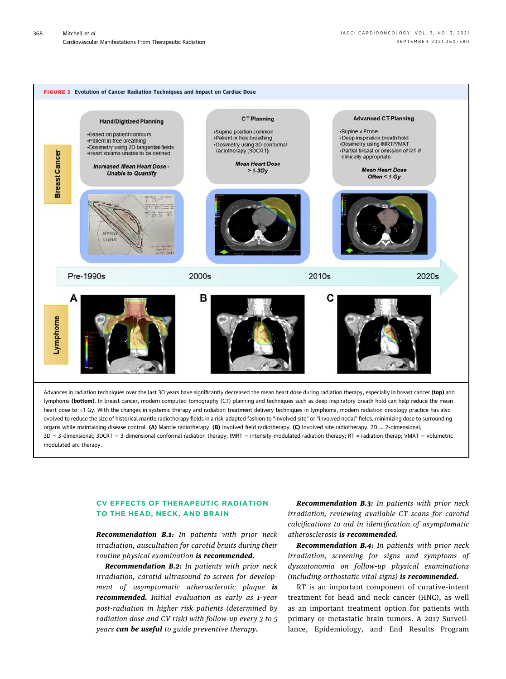

## CV EFFECTS OF THERAPEUTIC RADIATION TO THE HEAD, NECK, AND BRAIN

Recommendation B.1: In patients with prior neck irradiation, auscultation for carotid bruits during their routine physical examination is recommended.

Recommendation B.2: In patients with prior neck irradiation, carotid ultrasound to screen for development of asymptomatic atherosclerotic plaque is recommended. Initial evaluation as early as 1-year post-radiation in higher risk patients (determined by radiation dose and CV risk) with follow-up every 3 to 5 years can be useful to guide preventive therapy.

Recommendation B.3: In patients with prior neck irradiation, reviewing available CT scans for carotid calcifications to aid in identification of asymptomatic atherosclerosis is recommended.

Recommendation B.4: In patients with prior neck irradiation, screening for signs and symptoms of dysautonomia on follow-up physical examinations (including orthostatic vital signs) is recommended.

RT is an important component of curative-intent treatment for head and neck cancer (HNC), as well as an important treatment option for patients with primary or metastatic brain tumors. A 2017 Surveillance, Epidemiology, and End Results Program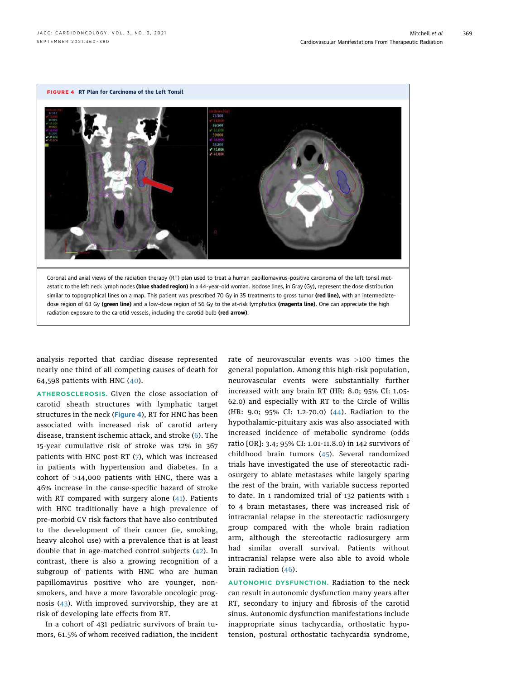

analysis reported that cardiac disease represented nearly one third of all competing causes of death for 64,598 patients with HNC (40).

ATHEROSCLEROSIS. Given the close association of carotid sheath structures with lymphatic target structures in the neck (Figure 4), RT for HNC has been associated with increased risk of carotid artery disease, transient ischemic attack, and stroke (6). The 15-year cumulative risk of stroke was 12% in 367 patients with HNC post-RT (7), which was increased in patients with hypertension and diabetes. In a cohort of  $>14,000$  patients with HNC, there was a 46% increase in the cause-specific hazard of stroke with RT compared with surgery alone (41). Patients with HNC traditionally have a high prevalence of pre-morbid CV risk factors that have also contributed to the development of their cancer (ie, smoking, heavy alcohol use) with a prevalence that is at least double that in age-matched control subjects (42). In contrast, there is also a growing recognition of a subgroup of patients with HNC who are human papillomavirus positive who are younger, nonsmokers, and have a more favorable oncologic prognosis (43). With improved survivorship, they are at risk of developing late effects from RT.

In a cohort of 431 pediatric survivors of brain tumors, 61.5% of whom received radiation, the incident

rate of neurovascular events was >100 times the general population. Among this high-risk population, neurovascular events were substantially further increased with any brain RT (HR: 8.0; 95% CI: 1.05- 62.0) and especially with RT to the Circle of Willis (HR: 9.0; 95% CI: 1.2-70.0) (44). Radiation to the hypothalamic-pituitary axis was also associated with increased incidence of metabolic syndrome (odds ratio [OR]: 3.4; 95% CI: 1.01-11.8.0) in 142 survivors of childhood brain tumors (45). Several randomized trials have investigated the use of stereotactic radiosurgery to ablate metastases while largely sparing the rest of the brain, with variable success reported to date. In 1 randomized trial of 132 patients with 1 to 4 brain metastases, there was increased risk of intracranial relapse in the stereotactic radiosurgery group compared with the whole brain radiation arm, although the stereotactic radiosurgery arm had similar overall survival. Patients without intracranial relapse were also able to avoid whole brain radiation (46).

AUTONOMIC DYSFUNCTION. Radiation to the neck can result in autonomic dysfunction many years after RT, secondary to injury and fibrosis of the carotid sinus. Autonomic dysfunction manifestations include inappropriate sinus tachycardia, orthostatic hypotension, postural orthostatic tachycardia syndrome,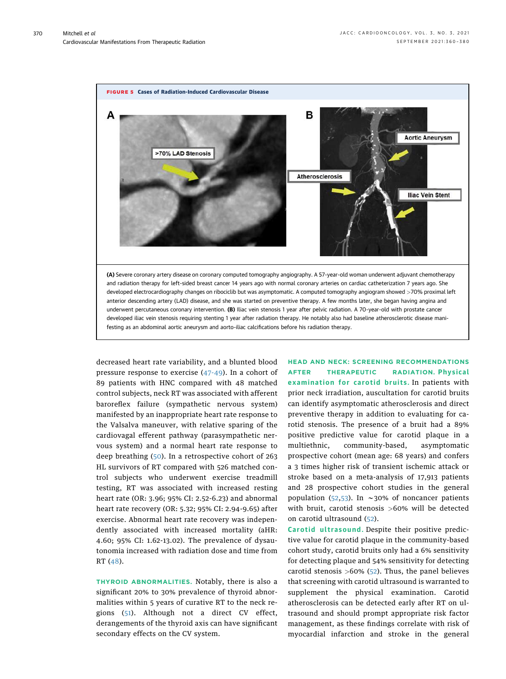

decreased heart rate variability, and a blunted blood pressure response to exercise (47-49). In a cohort of 89 patients with HNC compared with 48 matched control subjects, neck RT was associated with afferent baroreflex failure (sympathetic nervous system) manifested by an inappropriate heart rate response to the Valsalva maneuver, with relative sparing of the cardiovagal efferent pathway (parasympathetic nervous system) and a normal heart rate response to deep breathing (50). In a retrospective cohort of 263 HL survivors of RT compared with 526 matched control subjects who underwent exercise treadmill testing, RT was associated with increased resting heart rate (OR: 3.96; 95% CI: 2.52-6.23) and abnormal heart rate recovery (OR: 5.32; 95% CI: 2.94-9.65) after exercise. Abnormal heart rate recovery was independently associated with increased mortality (aHR: 4.60; 95% CI: 1.62-13.02). The prevalence of dysautonomia increased with radiation dose and time from RT (48).

THYROID ABNORMALITIES. Notably, there is also a significant 20% to 30% prevalence of thyroid abnormalities within 5 years of curative RT to the neck regions (51). Although not a direct CV effect, derangements of the thyroid axis can have significant secondary effects on the CV system.

HEAD AND NECK: SCREENING RECOMMENDATIONS AFTER THERAPEUTIC RADIATION. Physical examination for carotid bruits. In patients with prior neck irradiation, auscultation for carotid bruits can identify asymptomatic atherosclerosis and direct preventive therapy in addition to evaluating for carotid stenosis. The presence of a bruit had a 89% positive predictive value for carotid plaque in a multiethnic, community-based, asymptomatic prospective cohort (mean age: 68 years) and confers a 3 times higher risk of transient ischemic attack or stroke based on a meta-analysis of 17,913 patients and 28 prospective cohort studies in the general population (52,53). In  $\sim$ 30% of noncancer patients with bruit, carotid stenosis >60% will be detected on carotid ultrasound (52).

Carotid ultrasound. Despite their positive predictive value for carotid plaque in the community-based cohort study, carotid bruits only had a 6% sensitivity for detecting plaque and 54% sensitivity for detecting carotid stenosis  $>60\%$  (52). Thus, the panel believes that screening with carotid ultrasound is warranted to supplement the physical examination. Carotid atherosclerosis can be detected early after RT on ultrasound and should prompt appropriate risk factor management, as these findings correlate with risk of myocardial infarction and stroke in the general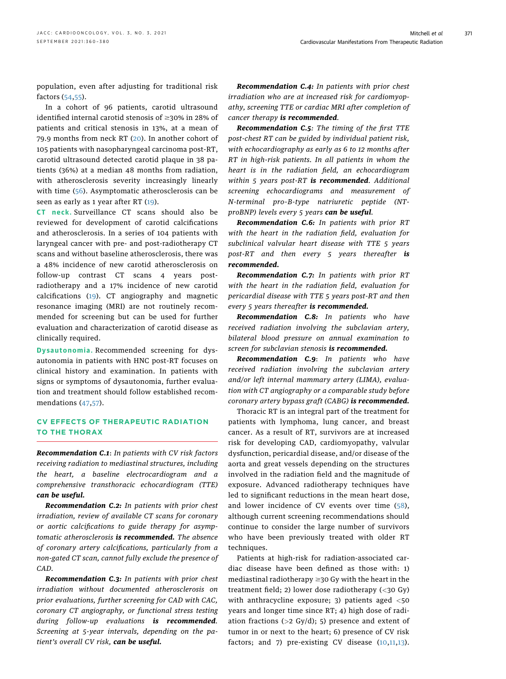population, even after adjusting for traditional risk factors (54,55).

In a cohort of 96 patients, carotid ultrasound identified internal carotid stenosis of  $\geq$ 30% in 28% of patients and critical stenosis in 13%, at a mean of 79.9 months from neck RT (20). In another cohort of 105 patients with nasopharyngeal carcinoma post-RT, carotid ultrasound detected carotid plaque in 38 patients (36%) at a median 48 months from radiation, with atherosclerosis severity increasingly linearly with time (56). Asymptomatic atherosclerosis can be seen as early as 1 year after RT (19).

CT neck. Surveillance CT scans should also be reviewed for development of carotid calcifications and atherosclerosis. In a series of 104 patients with laryngeal cancer with pre- and post-radiotherapy CT scans and without baseline atherosclerosis, there was a 48% incidence of new carotid atherosclerosis on follow-up contrast CT scans 4 years postradiotherapy and a 17% incidence of new carotid calcifications (19). CT angiography and magnetic resonance imaging (MRI) are not routinely recommended for screening but can be used for further evaluation and characterization of carotid disease as clinically required.

Dysautonomia. Recommended screening for dysautonomia in patients with HNC post-RT focuses on clinical history and examination. In patients with signs or symptoms of dysautonomia, further evaluation and treatment should follow established recommendations (47,57).

## CV EFFECTS OF THERAPEUTIC RADIATION TO THE THORAX

Recommendation C.1: In patients with CV risk factors receiving radiation to mediastinal structures, including the heart, a baseline electrocardiogram and a comprehensive transthoracic echocardiogram (TTE) can be useful.

Recommendation C.2: In patients with prior chest irradiation, review of available CT scans for coronary or aortic calcifications to guide therapy for asymptomatic atherosclerosis is recommended. The absence of coronary artery calcifications, particularly from a non-gated CT scan, cannot fully exclude the presence of CAD.

Recommendation C.3: In patients with prior chest irradiation without documented atherosclerosis on prior evaluations, further screening for CAD with CAC, coronary CT angiography, or functional stress testing during follow-up evaluations is recommended. Screening at 5-year intervals, depending on the patient's overall CV risk, can be useful.

Recommendation C.4: In patients with prior chest irradiation who are at increased risk for cardiomyopathy, screening TTE or cardiac MRI after completion of cancer therapy is recommended.

Recommendation C.5: The timing of the first TTE post-chest RT can be guided by individual patient risk, with echocardiography as early as 6 to 12 months after RT in high-risk patients. In all patients in whom the heart is in the radiation field, an echocardiogram within  $5$  years post-RT is recommended. Additional screening echocardiograms and measurement of N-terminal pro–B-type natriuretic peptide (NTproBNP) levels every 5 years can be useful.

Recommendation C.6: In patients with prior RT with the heart in the radiation field, evaluation for subclinical valvular heart disease with TTE 5 years post-RT and then every 5 years thereafter is recommended.

Recommendation C.7: In patients with prior RT with the heart in the radiation field, evaluation for pericardial disease with TTE 5 years post-RT and then every 5 years thereafter is recommended.

Recommendation C.8: In patients who have received radiation involving the subclavian artery, bilateral blood pressure on annual examination to screen for subclavian stenosis is recommended.

Recommendation C.9: In patients who have received radiation involving the subclavian artery and/or left internal mammary artery (LIMA), evaluation with CT angiography or a comparable study before coronary artery bypass graft (CABG) is recommended.

Thoracic RT is an integral part of the treatment for patients with lymphoma, lung cancer, and breast cancer. As a result of RT, survivors are at increased risk for developing CAD, cardiomyopathy, valvular dysfunction, pericardial disease, and/or disease of the aorta and great vessels depending on the structures involved in the radiation field and the magnitude of exposure. Advanced radiotherapy techniques have led to significant reductions in the mean heart dose, and lower incidence of CV events over time (58), although current screening recommendations should continue to consider the large number of survivors who have been previously treated with older RT techniques.

Patients at high-risk for radiation-associated cardiac disease have been defined as those with: 1) mediastinal radiotherapy  $\geq$  30 Gy with the heart in the treatment field; 2) lower dose radiotherapy (<30 Gy) with anthracycline exposure; 3) patients aged <50 years and longer time since RT; 4) high dose of radiation fractions ( $>2$  Gy/d); 5) presence and extent of tumor in or next to the heart; 6) presence of CV risk factors; and 7) pre-existing CV disease (10,11,13).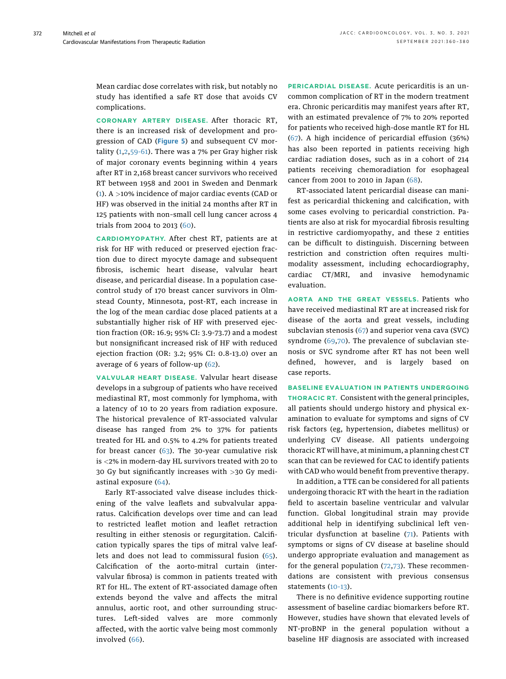Mean cardiac dose correlates with risk, but notably no study has identified a safe RT dose that avoids CV complications.

CORONARY ARTERY DISEASE. After thoracic RT, there is an increased risk of development and progression of CAD (Figure 5) and subsequent CV mortality  $(1,2,59-61)$ . There was a 7% per Gray higher risk of major coronary events beginning within 4 years after RT in 2,168 breast cancer survivors who received RT between 1958 and 2001 in Sweden and Denmark (1). A >10% incidence of major cardiac events (CAD or HF) was observed in the initial 24 months after RT in 125 patients with non–small cell lung cancer across 4 trials from 2004 to 2013 (60).

CARDIOMYOPATHY. After chest RT, patients are at risk for HF with reduced or preserved ejection fraction due to direct myocyte damage and subsequent fibrosis, ischemic heart disease, valvular heart disease, and pericardial disease. In a population casecontrol study of 170 breast cancer survivors in Olmstead County, Minnesota, post-RT, each increase in the log of the mean cardiac dose placed patients at a substantially higher risk of HF with preserved ejection fraction (OR: 16.9; 95% CI: 3.9-73.7) and a modest but nonsignificant increased risk of HF with reduced ejection fraction (OR: 3.2; 95% CI: 0.8-13.0) over an average of 6 years of follow-up (62).

VALVULAR HEART DISEASE. Valvular heart disease develops in a subgroup of patients who have received mediastinal RT, most commonly for lymphoma, with a latency of 10 to 20 years from radiation exposure. The historical prevalence of RT-associated valvular disease has ranged from 2% to 37% for patients treated for HL and 0.5% to 4.2% for patients treated for breast cancer  $(63)$ . The 30-year cumulative risk is <2% in modern-day HL survivors treated with 20 to 30 Gy but significantly increases with >30 Gy mediastinal exposure (64).

Early RT-associated valve disease includes thickening of the valve leaflets and subvalvular apparatus. Calcification develops over time and can lead to restricted leaflet motion and leaflet retraction resulting in either stenosis or regurgitation. Calcification typically spares the tips of mitral valve leaflets and does not lead to commissural fusion (65). Calcification of the aorto-mitral curtain (intervalvular fibrosa) is common in patients treated with RT for HL. The extent of RT-associated damage often extends beyond the valve and affects the mitral annulus, aortic root, and other surrounding structures. Left-sided valves are more commonly affected, with the aortic valve being most commonly involved (66).

PERICARDIAL DISEASE. Acute pericarditis is an uncommon complication of RT in the modern treatment era. Chronic pericarditis may manifest years after RT, with an estimated prevalence of 7% to 20% reported for patients who received high-dose mantle RT for HL (67). A high incidence of pericardial effusion (36%) has also been reported in patients receiving high cardiac radiation doses, such as in a cohort of 214 patients receiving chemoradiation for esophageal cancer from 2001 to 2010 in Japan (68).

RT-associated latent pericardial disease can manifest as pericardial thickening and calcification, with some cases evolving to pericardial constriction. Patients are also at risk for myocardial fibrosis resulting in restrictive cardiomyopathy, and these 2 entities can be difficult to distinguish. Discerning between restriction and constriction often requires multimodality assessment, including echocardiography, cardiac CT/MRI, and invasive hemodynamic evaluation.

AORTA AND THE GREAT VESSELS. Patients who have received mediastinal RT are at increased risk for disease of the aorta and great vessels, including subclavian stenosis (67) and superior vena cava (SVC) syndrome (69,70). The prevalence of subclavian stenosis or SVC syndrome after RT has not been well defined, however, and is largely based on case reports.

BASELINE EVALUATION IN PATIENTS UNDERGOING THORACIC RT. Consistent with the general principles, all patients should undergo history and physical examination to evaluate for symptoms and signs of CV risk factors (eg, hypertension, diabetes mellitus) or underlying CV disease. All patients undergoing thoracic RT will have, at minimum, a planning chest CT scan that can be reviewed for CAC to identify patients with CAD who would benefit from preventive therapy.

In addition, a TTE can be considered for all patients undergoing thoracic RT with the heart in the radiation field to ascertain baseline ventricular and valvular function. Global longitudinal strain may provide additional help in identifying subclinical left ventricular dysfunction at baseline (71). Patients with symptoms or signs of CV disease at baseline should undergo appropriate evaluation and management as for the general population (72,73). These recommendations are consistent with previous consensus statements (10-13).

There is no definitive evidence supporting routine assessment of baseline cardiac biomarkers before RT. However, studies have shown that elevated levels of NT-proBNP in the general population without a baseline HF diagnosis are associated with increased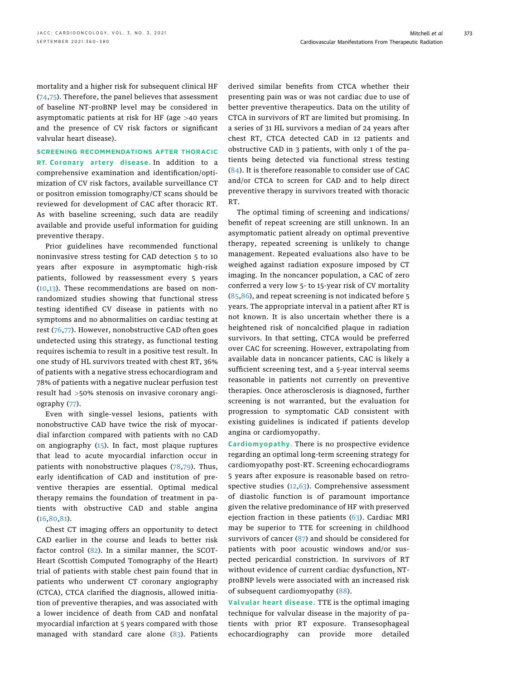mortality and a higher risk for subsequent clinical HF (74,75). Therefore, the panel believes that assessment of baseline NT-proBNP level may be considered in asymptomatic patients at risk for HF (age >40 years and the presence of CV risk factors or significant valvular heart disease).

SCREENING RECOMMENDATIONS AFTER THORACIC RT. Coronary artery disease. In addition to a comprehensive examination and identification/optimization of CV risk factors, available surveillance CT or positron emission tomography/CT scans should be reviewed for development of CAC after thoracic RT. As with baseline screening, such data are readily available and provide useful information for guiding preventive therapy.

Prior guidelines have recommended functional noninvasive stress testing for CAD detection 5 to 10 years after exposure in asymptomatic high-risk patients, followed by reassessment every 5 years (10,13). These recommendations are based on nonrandomized studies showing that functional stress testing identified CV disease in patients with no symptoms and no abnormalities on cardiac testing at rest (76,77). However, nonobstructive CAD often goes undetected using this strategy, as functional testing requires ischemia to result in a positive test result. In one study of HL survivors treated with chest RT, 36% of patients with a negative stress echocardiogram and 78% of patients with a negative nuclear perfusion test result had >50% stenosis on invasive coronary angiography (77).

Even with single-vessel lesions, patients with nonobstructive CAD have twice the risk of myocardial infarction compared with patients with no CAD on angiography (15). In fact, most plaque ruptures that lead to acute myocardial infarction occur in patients with nonobstructive plaques (78,79). Thus, early identification of CAD and institution of preventive therapies are essential. Optimal medical therapy remains the foundation of treatment in patients with obstructive CAD and stable angina (16,80,81).

Chest CT imaging offers an opportunity to detect CAD earlier in the course and leads to better risk factor control (82). In a similar manner, the SCOT-Heart (Scottish Computed Tomography of the Heart) trial of patients with stable chest pain found that in patients who underwent CT coronary angiography (CTCA), CTCA clarified the diagnosis, allowed initiation of preventive therapies, and was associated with a lower incidence of death from CAD and nonfatal myocardial infarction at 5 years compared with those managed with standard care alone (83). Patients

derived similar benefits from CTCA whether their presenting pain was or was not cardiac due to use of better preventive therapeutics. Data on the utility of CTCA in survivors of RT are limited but promising. In a series of 31 HL survivors a median of 24 years after chest RT, CTCA detected CAD in 12 patients and obstructive CAD in 3 patients, with only 1 of the patients being detected via functional stress testing (84). It is therefore reasonable to consider use of CAC and/or CTCA to screen for CAD and to help direct preventive therapy in survivors treated with thoracic RT.

The optimal timing of screening and indications/ benefit of repeat screening are still unknown. In an asymptomatic patient already on optimal preventive therapy, repeated screening is unlikely to change management. Repeated evaluations also have to be weighed against radiation exposure imposed by CT imaging. In the noncancer population, a CAC of zero conferred a very low 5- to 15-year risk of CV mortality (85,86), and repeat screening is not indicated before 5 years. The appropriate interval in a patient after RT is not known. It is also uncertain whether there is a heightened risk of noncalcified plaque in radiation survivors. In that setting, CTCA would be preferred over CAC for screening. However, extrapolating from available data in noncancer patients, CAC is likely a sufficient screening test, and a 5-year interval seems reasonable in patients not currently on preventive therapies. Once atherosclerosis is diagnosed, further screening is not warranted, but the evaluation for progression to symptomatic CAD consistent with existing guidelines is indicated if patients develop angina or cardiomyopathy.

Cardiomyopathy. There is no prospective evidence regarding an optimal long-term screening strategy for cardiomyopathy post-RT. Screening echocardiograms 5 years after exposure is reasonable based on retrospective studies  $(12,63)$ . Comprehensive assessment of diastolic function is of paramount importance given the relative predominance of HF with preserved ejection fraction in these patients (63). Cardiac MRI may be superior to TTE for screening in childhood survivors of cancer (87) and should be considered for patients with poor acoustic windows and/or suspected pericardial constriction. In survivors of RT without evidence of current cardiac dysfunction, NTproBNP levels were associated with an increased risk of subsequent cardiomyopathy (88).

Valvular heart disease. TTE is the optimal imaging technique for valvular disease in the majority of patients with prior RT exposure. Transesophageal echocardiography can provide more detailed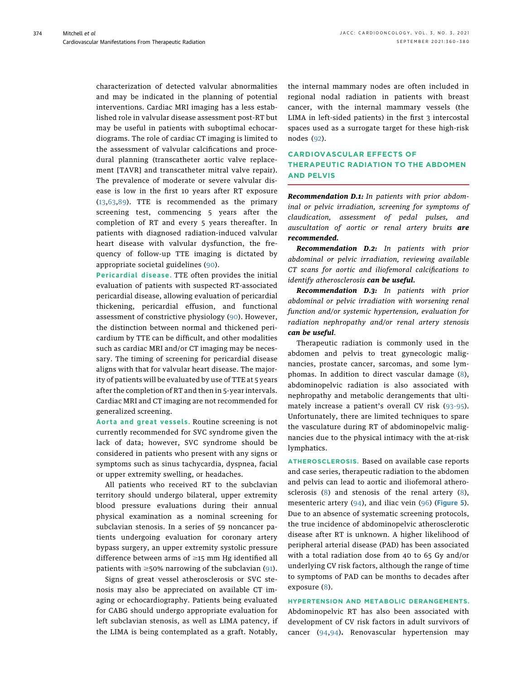characterization of detected valvular abnormalities and may be indicated in the planning of potential interventions. Cardiac MRI imaging has a less established role in valvular disease assessment post-RT but may be useful in patients with suboptimal echocardiograms. The role of cardiac CT imaging is limited to the assessment of valvular calcifications and procedural planning (transcatheter aortic valve replacement [TAVR] and transcatheter mitral valve repair). The prevalence of moderate or severe valvular disease is low in the first 10 years after RT exposure (13,63,89). TTE is recommended as the primary screening test, commencing 5 years after the completion of RT and every 5 years thereafter. In patients with diagnosed radiation-induced valvular heart disease with valvular dysfunction, the frequency of follow-up TTE imaging is dictated by appropriate societal guidelines (90).

Pericardial disease. TTE often provides the initial evaluation of patients with suspected RT-associated pericardial disease, allowing evaluation of pericardial thickening, pericardial effusion, and functional assessment of constrictive physiology (90). However, the distinction between normal and thickened pericardium by TTE can be difficult, and other modalities such as cardiac MRI and/or CT imaging may be necessary. The timing of screening for pericardial disease aligns with that for valvular heart disease. The majority of patients will be evaluated by use of TTE at 5 years after the completion of RT and then in 5-year intervals. Cardiac MRI and CT imaging are not recommended for generalized screening.

Aorta and great vessels. Routine screening is not currently recommended for SVC syndrome given the lack of data; however, SVC syndrome should be considered in patients who present with any signs or symptoms such as sinus tachycardia, dyspnea, facial or upper extremity swelling, or headaches.

All patients who received RT to the subclavian territory should undergo bilateral, upper extremity blood pressure evaluations during their annual physical examination as a nominal screening for subclavian stenosis. In a series of 59 noncancer patients undergoing evaluation for coronary artery bypass surgery, an upper extremity systolic pressure difference between arms of  $\geq$ 15 mm Hg identified all patients with  $\geq$ 50% narrowing of the subclavian (91).

Signs of great vessel atherosclerosis or SVC stenosis may also be appreciated on available CT imaging or echocardiography. Patients being evaluated for CABG should undergo appropriate evaluation for left subclavian stenosis, as well as LIMA patency, if the LIMA is being contemplated as a graft. Notably,

the internal mammary nodes are often included in regional nodal radiation in patients with breast cancer, with the internal mammary vessels (the LIMA in left-sided patients) in the first 3 intercostal spaces used as a surrogate target for these high-risk nodes (92).

## CARDIOVASCULAR EFFECTS OF THERAPEUTIC RADIATION TO THE ABDOMEN AND PELVIS

**Recommendation D.1:** In patients with prior abdominal or pelvic irradiation, screening for symptoms of claudication, assessment of pedal pulses, and auscultation of aortic or renal artery bruits are recommended.

Recommendation D.2: In patients with prior abdominal or pelvic irradiation, reviewing available CT scans for aortic and iliofemoral calcifications to identify atherosclerosis can be useful.

Recommendation D.3: In patients with prior abdominal or pelvic irradiation with worsening renal function and/or systemic hypertension, evaluation for radiation nephropathy and/or renal artery stenosis can be useful.

Therapeutic radiation is commonly used in the abdomen and pelvis to treat gynecologic malignancies, prostate cancer, sarcomas, and some lymphomas. In addition to direct vascular damage (8), abdominopelvic radiation is also associated with nephropathy and metabolic derangements that ultimately increase a patient's overall CV risk (93-95). Unfortunately, there are limited techniques to spare the vasculature during RT of abdominopelvic malignancies due to the physical intimacy with the at-risk lymphatics.

ATHEROSCLEROSIS. Based on available case reports and case series, therapeutic radiation to the abdomen and pelvis can lead to aortic and iliofemoral atherosclerosis (8) and stenosis of the renal artery (8), mesenteric artery (94), and iliac vein (96) (Figure 5). Due to an absence of systematic screening protocols, the true incidence of abdominopelvic atherosclerotic disease after RT is unknown. A higher likelihood of peripheral arterial disease (PAD) has been associated with a total radiation dose from 40 to 65 Gy and/or underlying CV risk factors, although the range of time to symptoms of PAD can be months to decades after exposure (8).

#### HYPERTENSION AND METABOLIC DERANGEMENTS.

Abdominopelvic RT has also been associated with development of CV risk factors in adult survivors of cancer (94,94). Renovascular hypertension may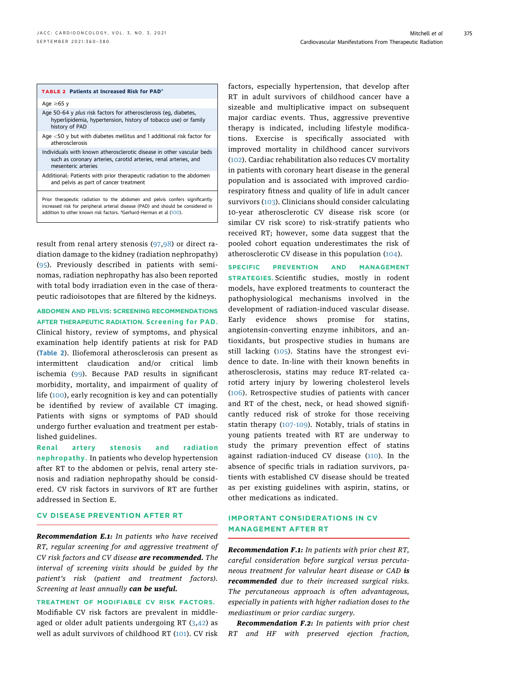### TABLE 2 Patients at Increased Risk for PAD<sup>a</sup>

Age  $\geq 65$  y

- Age 50-64 y plus risk factors for atherosclerosis (eg, diabetes, hyperlipidemia, hypertension, history of tobacco use) or family history of PAD Age <50 y but with diabetes mellitus and 1 additional risk factor for atherosclerosis
- Individuals with known atherosclerotic disease in other vascular beds such as coronary arteries, carotid arteries, renal arteries, and mesenteric arteries
- Additional: Patients with prior therapeutic radiation to the abdomen and pelvis as part of cancer treatment

Prior therapeutic radiation to the abdomen and pelvis confers significantly increased risk for peripheral arterial disease (PAD) and should be considered in addition to other known risk factors. <sup>a</sup>Gerhard-Herman et al (100).

result from renal artery stenosis (97,98) or direct radiation damage to the kidney (radiation nephropathy) (95). Previously described in patients with seminomas, radiation nephropathy has also been reported with total body irradiation even in the case of therapeutic radioisotopes that are filtered by the kidneys.

ABDOMEN AND PELVIS: SCREENING RECOMMENDATIONS AFTER THERAPEUTIC RADIATION. Screening for PAD.

Clinical history, review of symptoms, and physical examination help identify patients at risk for PAD (Table 2). Iliofemoral atherosclerosis can present as intermittent claudication and/or critical limb ischemia (99). Because PAD results in significant morbidity, mortality, and impairment of quality of life (100), early recognition is key and can potentially be identified by review of available CT imaging. Patients with signs or symptoms of PAD should undergo further evaluation and treatment per established guidelines.

Renal artery stenosis and radiation nephropathy. In patients who develop hypertension after RT to the abdomen or pelvis, renal artery stenosis and radiation nephropathy should be considered. CV risk factors in survivors of RT are further addressed in Section E.

#### CV DISEASE PREVENTION AFTER RT

Recommendation E.1: In patients who have received RT, regular screening for and aggressive treatment of CV risk factors and CV disease are recommended. The interval of screening visits should be guided by the patient's risk (patient and treatment factors). Screening at least annually can be useful.

#### TREATMENT OF MODIFIABLE CV RISK FACTORS.

Modifiable CV risk factors are prevalent in middleaged or older adult patients undergoing RT (3,42) as well as adult survivors of childhood RT (101). CV risk factors, especially hypertension, that develop after RT in adult survivors of childhood cancer have a sizeable and multiplicative impact on subsequent major cardiac events. Thus, aggressive preventive therapy is indicated, including lifestyle modifications. Exercise is specifically associated with improved mortality in childhood cancer survivors (102). Cardiac rehabilitation also reduces CV mortality in patients with coronary heart disease in the general population and is associated with improved cardiorespiratory fitness and quality of life in adult cancer survivors (103). Clinicians should consider calculating 10-year atherosclerotic CV disease risk score (or similar CV risk score) to risk-stratify patients who received RT; however, some data suggest that the pooled cohort equation underestimates the risk of atherosclerotic CV disease in this population (104).

SPECIFIC PREVENTION AND MANAGEMENT STRATEGIES. Scientific studies, mostly in rodent models, have explored treatments to counteract the pathophysiological mechanisms involved in the development of radiation-induced vascular disease. Early evidence shows promise for statins, angiotensin-converting enzyme inhibitors, and antioxidants, but prospective studies in humans are still lacking (105). Statins have the strongest evidence to date. In-line with their known benefits in atherosclerosis, statins may reduce RT-related carotid artery injury by lowering cholesterol levels (106). Retrospective studies of patients with cancer and RT of the chest, neck, or head showed significantly reduced risk of stroke for those receiving statin therapy (107-109). Notably, trials of statins in young patients treated with RT are underway to study the primary prevention effect of statins against radiation-induced CV disease (110). In the absence of specific trials in radiation survivors, patients with established CV disease should be treated as per existing guidelines with aspirin, statins, or other medications as indicated.

## IMPORTANT CONSIDERATIONS IN CV MANAGEMENT AFTER RT

Recommendation F.1: In patients with prior chest RT, careful consideration before surgical versus percutaneous treatment for valvular heart disease or CAD is recommended due to their increased surgical risks. The percutaneous approach is often advantageous, especially in patients with higher radiation doses to the mediastinum or prior cardiac surgery.

Recommendation F.2: In patients with prior chest RT and HF with preserved ejection fraction,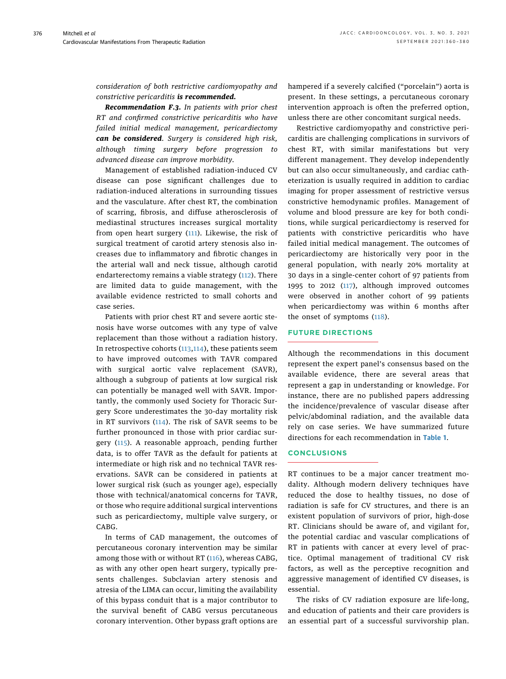consideration of both restrictive cardiomyopathy and constrictive pericarditis is recommended.

Recommendation F.3. In patients with prior chest RT and confirmed constrictive pericarditis who have failed initial medical management, pericardiectomy can be considered. Surgery is considered high risk, although timing surgery before progression to advanced disease can improve morbidity.

Management of established radiation-induced CV disease can pose significant challenges due to radiation-induced alterations in surrounding tissues and the vasculature. After chest RT, the combination of scarring, fibrosis, and diffuse atherosclerosis of mediastinal structures increases surgical mortality from open heart surgery (111). Likewise, the risk of surgical treatment of carotid artery stenosis also increases due to inflammatory and fibrotic changes in the arterial wall and neck tissue, although carotid endarterectomy remains a viable strategy (112). There are limited data to guide management, with the available evidence restricted to small cohorts and case series.

Patients with prior chest RT and severe aortic stenosis have worse outcomes with any type of valve replacement than those without a radiation history. In retrospective cohorts  $(113, 114)$ , these patients seem to have improved outcomes with TAVR compared with surgical aortic valve replacement (SAVR), although a subgroup of patients at low surgical risk can potentially be managed well with SAVR. Importantly, the commonly used Society for Thoracic Surgery Score underestimates the 30-day mortality risk in RT survivors (114). The risk of SAVR seems to be further pronounced in those with prior cardiac surgery (115). A reasonable approach, pending further data, is to offer TAVR as the default for patients at intermediate or high risk and no technical TAVR reservations. SAVR can be considered in patients at lower surgical risk (such as younger age), especially those with technical/anatomical concerns for TAVR, or those who require additional surgical interventions such as pericardiectomy, multiple valve surgery, or CABG.

In terms of CAD management, the outcomes of percutaneous coronary intervention may be similar among those with or without RT (116), whereas CABG, as with any other open heart surgery, typically presents challenges. Subclavian artery stenosis and atresia of the LIMA can occur, limiting the availability of this bypass conduit that is a major contributor to the survival benefit of CABG versus percutaneous coronary intervention. Other bypass graft options are hampered if a severely calcified ("porcelain") aorta is present. In these settings, a percutaneous coronary intervention approach is often the preferred option, unless there are other concomitant surgical needs.

Restrictive cardiomyopathy and constrictive pericarditis are challenging complications in survivors of chest RT, with similar manifestations but very different management. They develop independently but can also occur simultaneously, and cardiac catheterization is usually required in addition to cardiac imaging for proper assessment of restrictive versus constrictive hemodynamic profiles. Management of volume and blood pressure are key for both conditions, while surgical pericardiectomy is reserved for patients with constrictive pericarditis who have failed initial medical management. The outcomes of pericardiectomy are historically very poor in the general population, with nearly 20% mortality at 30 days in a single-center cohort of 97 patients from 1995 to 2012 (117), although improved outcomes were observed in another cohort of 99 patients when pericardiectomy was within 6 months after the onset of symptoms (118).

#### FUTURE DIRECTIONS

Although the recommendations in this document represent the expert panel's consensus based on the available evidence, there are several areas that represent a gap in understanding or knowledge. For instance, there are no published papers addressing the incidence/prevalence of vascular disease after pelvic/abdominal radiation, and the available data rely on case series. We have summarized future directions for each recommendation in Table 1.

## **CONCLUSIONS**

RT continues to be a major cancer treatment modality. Although modern delivery techniques have reduced the dose to healthy tissues, no dose of radiation is safe for CV structures, and there is an existent population of survivors of prior, high-dose RT. Clinicians should be aware of, and vigilant for, the potential cardiac and vascular complications of RT in patients with cancer at every level of practice. Optimal management of traditional CV risk factors, as well as the perceptive recognition and aggressive management of identified CV diseases, is essential.

The risks of CV radiation exposure are life-long, and education of patients and their care providers is an essential part of a successful survivorship plan.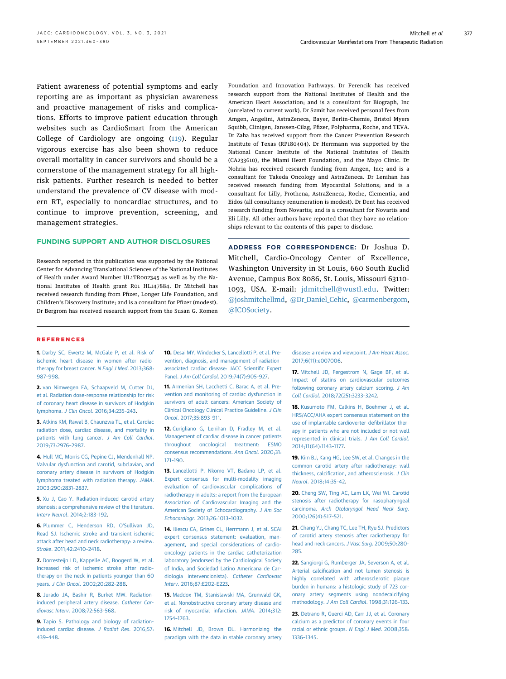Patient awareness of potential symptoms and early reporting are as important as physician awareness and proactive management of risks and complications. Efforts to improve patient education through websites such as CardioSmart from the American College of Cardiology are ongoing (119). Regular vigorous exercise has also been shown to reduce overall mortality in cancer survivors and should be a cornerstone of the management strategy for all highrisk patients. Further research is needed to better understand the prevalence of CV disease with modern RT, especially to noncardiac structures, and to continue to improve prevention, screening, and management strategies.

#### FUNDING SUPPORT AND AUTHOR DISCLOSURES

Research reported in this publication was supported by the National Center for Advancing Translational Sciences of the National Institutes of Health under Award Number UL1TR002345 as well as by the National Institutes of Health grant R01 HL147884. Dr Mitchell has received research funding from Pfizer, Longer Life Foundation, and Children's Discovery Institute; and is a consultant for Pfizer (modest). Dr Bergrom has received research support from the Susan G. Komen Foundation and Innovation Pathways. Dr Ferencik has received research support from the National Institutes of Health and the American Heart Association; and is a consultant for Biograph, Inc (unrelated to current work). Dr Szmit has received personal fees from Amgen, Angelini, AstraZeneca, Bayer, Berlin-Chemie, Bristol Myers Squibb, Clinigen, Janssen-Cilag, Pfizer, Polpharma, Roche, and TEVA. Dr Zaha has received support from the Cancer Prevention Research Institute of Texas (RP180404). Dr Herrmann was supported by the National Cancer Institute of the National Institutes of Health (CA233610), the Miami Heart Foundation, and the Mayo Clinic. Dr Nohria has received research funding from Amgen, Inc; and is a consultant for Takeda Oncology and AstraZeneca. Dr Lenihan has received research funding from Myocardial Solutions; and is a consultant for Lilly, Prothena, AstraZeneca, Roche, Clementia, and Eidos (all consultancy renumeration is modest). Dr Dent has received research funding from Novartis; and is a consultant for Novartis and Eli Lilly. All other authors have reported that they have no relationships relevant to the contents of this paper to disclose.

ADDRESS FOR CORRESPONDENCE: Dr Joshua D. Mitchell, Cardio-Oncology Center of Excellence, Washington University in St Louis, 660 South Euclid Avenue, Campus Box 8086, St. Louis, Missouri 63110- 1093, USA. E-mail: jdmitchell@wustl.edu. Twitter: @joshmitchellmd, @Dr\_Daniel\_Cehic, @carmenbergom, @ICOSociety.

#### REFERENCES

1. Darby SC, Ewertz M, McGale P, et al. Risk of ischemic heart disease in women after radiotherapy for breast cancer. N Engl J Med. 2013;368: 987–998.

2. van Nimwegen FA, Schaapveld M, Cutter DJ, et al. Radiation dose-response relationship for risk of coronary heart disease in survivors of Hodgkin lymphoma. J Clin Oncol. 2016;34:235–243.

3. Atkins KM, Rawal B, Chaunzwa TL, et al. Cardiac radiation dose, cardiac disease, and mortality in patients with lung cancer. J Am Coll Cardiol. 2019;73:2976–2987.

4. Hull MC, Morris CG, Pepine CJ, Mendenhall NP. Valvular dysfunction and carotid, subclavian, and coronary artery disease in survivors of Hodgkin lymphoma treated with radiation therapy. JAMA. 2003;290:2831–2837.

5. Xu J, Cao Y. Radiation-induced carotid artery stenosis: a comprehensive review of the literature. Interv Neurol. 2014;2:183–192.

6. Plummer C, Henderson RD, O'Sullivan JD, Read SJ. Ischemic stroke and transient ischemic attack after head and neck radiotherapy: a review. Stroke. 2011;42:2410–2418.

7. Dorresteijn LD, Kappelle AC, Boogerd W, et al. Increased risk of ischemic stroke after radiotherapy on the neck in patients younger than 60 years. J Clin Oncol. 2002;20:282–288.

8. Jurado JA, Bashir R, Burket MW. Radiationinduced peripheral artery disease. Catheter Cardiovasc Interv. 2008;72:563–568.

9. Tapio S. Pathology and biology of radiationinduced cardiac disease. J Radiat Res. 2016;57: 439–448.

10. Desai MY, Windecker S, Lancellotti P, et al. Prevention, diagnosis, and management of radiationassociated cardiac disease: JACC Scientific Expert Panel. J Am Coll Cardiol. 2019;74(7):905–927.

11. Armenian SH, Lacchetti C, Barac A, et al. Prevention and monitoring of cardiac dysfunction in survivors of adult cancers: American Society of Clinical Oncology Clinical Practice Guideline. J Clin Oncol. 2017;35:893–911.

12. Curigliano G, Lenihan D, Fradley M, et al. Management of cardiac disease in cancer patients throughout oncological treatment: ESMO consensus recommendations. Ann Oncol. 2020;31: 171–190.

13. Lancellotti P, Nkomo VT, Badano LP, et al. Expert consensus for multi-modality imaging evaluation of cardiovascular complications of radiotherapy in adults: a report from the European Association of Cardiovascular Imaging and the American Society of Echocardiography. J Am Soc Echocardiogr. 2013;26:1013–1032.

14. Iliescu CA, Grines CL, Herrmann J, et al. SCAI expert consensus statement: evaluation, management, and special considerations of cardiooncology patients in the cardiac catheterization laboratory (endorsed by the Cardiological Society of India, and Sociedad Latino Americana de Cardiologia intervencionista). Catheter Cardiovasc Interv. 2016;87:E202–E223.

15. Maddox TM, Stanislawski MA, Grunwald GK, et al. Nonobstructive coronary artery disease and risk of myocardial infarction. JAMA. 2014;312: 1754–1763.

16. Mitchell JD, Brown DL. Harmonizing the paradigm with the data in stable coronary artery

disease: a review and viewpoint. J Am Heart Assoc. 2017;6(11):e007006.

17. Mitchell JD, Fergestrom N, Gage BF, et al. Impact of statins on cardiovascular outcomes following coronary artery calcium scoring. J Am Coll Cardiol. 2018;72(25):3233–3242.

18. Kusumoto FM, Calkins H, Boehmer J, et al. HRS/ACC/AHA expert consensus statement on the use of implantable cardioverter-defibrillator therapy in patients who are not included or not well represented in clinical trials. J Am Coll Cardiol. 2014;11(64):1143–1177.

19. Kim BJ, Kang HG, Lee SW, et al. Changes in the common carotid artery after radiotherapy: wall thickness, calcification, and atherosclerosis. J Clin Neurol. 2018;14:35–42.

20. Cheng SW, Ting AC, Lam LK, Wei WI. Carotid stenosis after radiotherapy for nasopharyngeal carcinoma. Arch Otolaryngol Head Neck Surg. 2000;126(4):517–521.

21. Chang YJ, Chang TC, Lee TH, Ryu SJ. Predictors of carotid artery stenosis after radiotherapy for head and neck cancers. J Vasc Surg. 2009;50:280– 285.

22. Sangiorgi G, Rumberger JA, Severson A, et al. Arterial calcification and not lumen stenosis is highly correlated with atherosclerotic plaque burden in humans: a histologic study of 723 coronary artery segments using nondecalcifying methodology. J Am Coll Cardiol. 1998;31:126–133.

23. Detrano R, Guerci AD, Carr JJ, et al. Coronary calcium as a predictor of coronary events in four racial or ethnic groups. N Engl J Med. 2008;358: 1336–1345.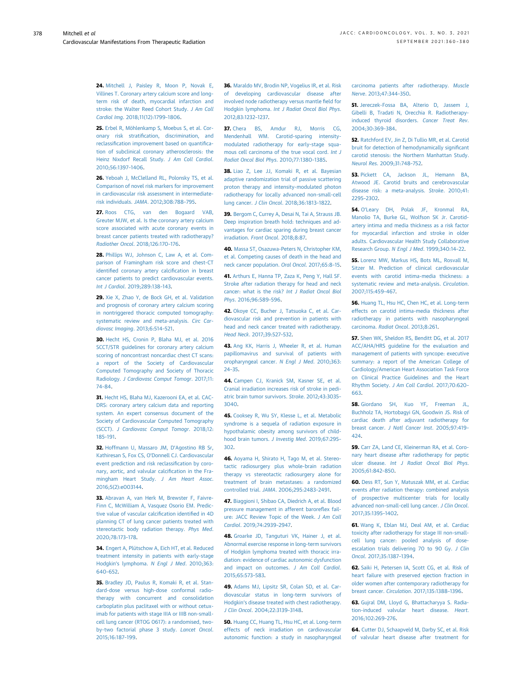24. Mitchell J, Paisley R, Moon P, Novak E, Villines T. Coronary artery calcium score and longterm risk of death, myocardial infarction and stroke: the Walter Reed Cohort Study. J Am Coll Cardiol Img. 2018;11(12):1799–1806.

25. Erbel R, Möhlenkamp S, Moebus S, et al. Coronary risk stratification, discrimination, and reclassification improvement based on quantification of subclinical coronary atherosclerosis: the Heinz Nixdorf Recall Study. J Am Coll Cardiol. 2010;56:1397–1406.

26. Yeboah J, McClelland RL, Polonsky TS, et al. Comparison of novel risk markers for improvement in cardiovascular risk assessment in intermediaterisk individuals. JAMA. 2012;308:788–795.

27. Roos CTG, van den Bogaard VAB, Greuter MJW, et al. Is the coronary artery calcium score associated with acute coronary events in breast cancer patients treated with radiotherapy? Radiother Oncol. 2018;126:170–176.

28. Phillips WJ, Johnson C, Law A, et al. Comparison of Framingham risk score and chest-CT identified coronary artery calcification in breast cancer patients to predict cardiovascular events. Int J Cardiol. 2019;289:138–143.

29. Xie X, Zhao Y, de Bock GH, et al. Validation and prognosis of coronary artery calcium scoring in nontriggered thoracic computed tomography: systematic review and meta-analysis. Circ Cardiovasc Imaging. 2013;6:514–521.

30. Hecht HS, Cronin P, Blaha MJ, et al. 2016 SCCT/STR guidelines for coronary artery calcium scoring of noncontrast noncardiac chest CT scans: a report of the Society of Cardiovascular Computed Tomography and Society of Thoracic Radiology. J Cardiovasc Comput Tomogr. 2017;11: 74–84.

31. Hecht HS, Blaha MJ, Kazerooni EA, et al. CAC-DRS: coronary artery calcium data and reporting system. An expert consensus document of the Society of Cardiovascular Computed Tomography (SCCT). J Cardiovasc Comput Tomogr. 2018;12: 185–191.

32. Hoffmann U, Massaro JM, D'Agostino RB Sr, Kathiresan S, Fox CS, O'Donnell CJ. Cardiovascular event prediction and risk reclassification by coronary, aortic, and valvular calcification in the Framingham Heart Study. J Am Heart Assoc. 2016;5(2):e003144.

33. Abravan A, van Herk M, Brewster F, Faivre-Finn C, McWilliam A, Vasquez Osorio EM. Predictive value of vascular calcification identified in 4D planning CT of lung cancer patients treated with stereotactic body radiation therapy. Phys Med. 2020;78:173–178.

34. Engert A, Plütschow A, Eich HT, et al. Reduced treatment intensity in patients with early-stage Hodgkin's lymphoma. N Engl J Med. 2010;363: 640–652.

35. Bradley JD, Paulus R, Komaki R, et al. Standard-dose versus high-dose conformal radiotherapy with concurrent and consolidation carboplatin plus paclitaxel with or without cetuximab for patients with stage IIIA or IIIB non-smallcell lung cancer (RTOG 0617): a randomised, twoby-two factorial phase 3 study. Lancet Oncol. 2015;16:187–199.

36. Maraldo MV, Brodin NP, Vogelius IR, et al. Risk of developing cardiovascular disease after involved node radiotherapy versus mantle field for Hodgkin lymphoma. Int J Radiat Oncol Biol Phys. 2012;83:1232–1237.

37. Chera BS, Amdur RJ, Morris CG, Mendenhall WM. Carotid-sparing intensitymodulated radiotherapy for early-stage squamous cell carcinoma of the true vocal cord. Int J Radiat Oncol Biol Phys. 2010;77:1380–1385.

38. Liao Z, Lee JJ, Komaki R, et al. Bayesian adaptive randomization trial of passive scattering proton therapy and intensity-modulated photon radiotherapy for locally advanced non-small-cell lung cancer. J Clin Oncol. 2018;36:1813–1822.

39. Bergom C, Currey A, Desai N, Tai A, Strauss JB. Deep inspiration breath hold: techniques and advantages for cardiac sparing during breast cancer irradiation. Front Oncol. 2018;8:87.

40. Massa ST, Osazuwa-Peters N, Christopher KM, et al. Competing causes of death in the head and neck cancer population. Oral Oncol. 2017;65:8–15.

41. Arthurs E, Hanna TP, Zaza K, Peng Y, Hall SF. Stroke after radiation therapy for head and neck cancer: what is the risk? Int J Radiat Oncol Biol Phys. 2016;96:589–596.

42. Okoye CC, Bucher J, Tatsuoka C, et al. Cardiovascular risk and prevention in patients with head and neck cancer treated with radiotherapy. Head Neck. 2017;39:527–532.

43. Ang KK, Harris J, Wheeler R, et al. Human papillomavirus and survival of patients with oropharyngeal cancer. N Engl J Med. 2010;363: 24–35.

44. Campen CJ, Kranick SM, Kasner SE, et al. Cranial irradiation increases risk of stroke in pediatric brain tumor survivors. Stroke. 2012;43:3035– 3040.

45. Cooksey R, Wu SY, Klesse L, et al. Metabolic syndrome is a sequela of radiation exposure in hypothalamic obesity among survivors of childhood brain tumors. J Investig Med. 2019;67:295– 302.

46. Aoyama H, Shirato H, Tago M, et al. Stereotactic radiosurgery plus whole-brain radiation therapy vs stereotactic radiosurgery alone for treatment of brain metastases: a randomized controlled trial. JAMA. 2006;295:2483–2491.

47. Biaggioni I, Shibao CA, Diedrich A, et al. Blood pressure management in afferent baroreflex failure: JACC Review Topic of the Week. J Am Coll Cardiol. 2019;74:2939–2947.

48. Groarke JD, Tanguturi VK, Hainer J, et al. Abnormal exercise response in long-term survivors of Hodgkin lymphoma treated with thoracic irradiation: evidence of cardiac autonomic dysfunction and impact on outcomes. J Am Coll Cardiol. 2015;65:573–583.

49. Adams MJ, Lipsitz SR, Colan SD, et al. Cardiovascular status in long-term survivors of Hodgkin's disease treated with chest radiotherapy. J Clin Oncol. 2004;22:3139–3148.

50. Huang CC, Huang TL, Hsu HC, et al. Long-term effects of neck irradiation on cardiovascular autonomic function: a study in nasopharyngeal carcinoma patients after radiotherapy. Muscle Nerve. 2013;47:344–350.

51. Jereczek-Fossa BA, Alterio D, Jassem J, Gibelli B, Tradati N, Orecchia R. Radiotherapyinduced thyroid disorders. Cancer Treat Rev. 2004;30:369–384.

52. Ratchford EV, Jin Z, Di Tullio MR, et al. Carotid bruit for detection of hemodynamically significant carotid stenosis: the Northern Manhattan Study. Neurol Res. 2009;31:748–752.

53. Pickett CA, Jackson JL, Hemann BA, Atwood JE. Carotid bruits and cerebrovascular disease risk: a meta-analysis. Stroke. 2010;41: 2295–2302.

54. O'Leary DH, Polak JF, Kronmal RA, Manolio TA, Burke GL, Wolfson SK Jr. Carotidartery intima and media thickness as a risk factor for myocardial infarction and stroke in older adults. Cardiovascular Health Study Collaborative Research Group. N Engl J Med. 1999;340:14–22.

55. Lorenz MW, Markus HS, Bots ML, Rosvall M, Sitzer M. Prediction of clinical cardiovascular events with carotid intima-media thickness: a systematic review and meta-analysis. Circulation. 2007;115:459–467.

56. Huang TL, Hsu HC, Chen HC, et al. Long-term effects on carotid intima-media thickness after radiotherapy in patients with nasopharyngeal carcinoma. Radiat Oncol. 2013;8:261.

57. Shen WK, Sheldon RS, Benditt DG, et al. 2017 ACC/AHA/HRS guideline for the evaluation and management of patients with syncope: executive summary: a report of the American College of Cardiology/American Heart Association Task Force on Clinical Practice Guidelines and the Heart Rhythm Society. J Am Coll Cardiol. 2017;70:620– 663.

58. Giordano SH, Kuo YF, Freeman JL, Buchholz TA, Hortobagyi GN, Goodwin JS. Risk of cardiac death after adjuvant radiotherapy for breast cancer. J Natl Cancer Inst. 2005;97:419– 424.

59. Carr ZA, Land CE, Kleinerman RA, et al. Coronary heart disease after radiotherapy for peptic ulcer disease. Int J Radiat Oncol Biol Phys. 2005;61:842–850.

60. Dess RT, Sun Y, Matuszak MM, et al. Cardiac events after radiation therapy: combined analysis of prospective multicenter trials for locally advanced non-small-cell lung cancer. J Clin Oncol. 2017;35:1395–1402.

61. Wang K, Eblan MJ, Deal AM, et al. Cardiac toxicity after radiotherapy for stage III non-smallcell lung cancer: pooled analysis of doseescalation trials delivering 70 to 90 Gy. J Clin Oncol. 2017;35:1387–1394.

62. Saiki H, Petersen IA, Scott CG, et al. Risk of heart failure with preserved ejection fraction in older women after contemporary radiotherapy for breast cancer. Circulation. 2017;135:1388–1396.

63. Gujral DM, Lloyd G, Bhattacharyya S. Radiation-induced valvular heart disease. Heart. 2016;102:269–276.

64. Cutter DJ, Schaapveld M, Darby SC, et al. Risk of valvular heart disease after treatment for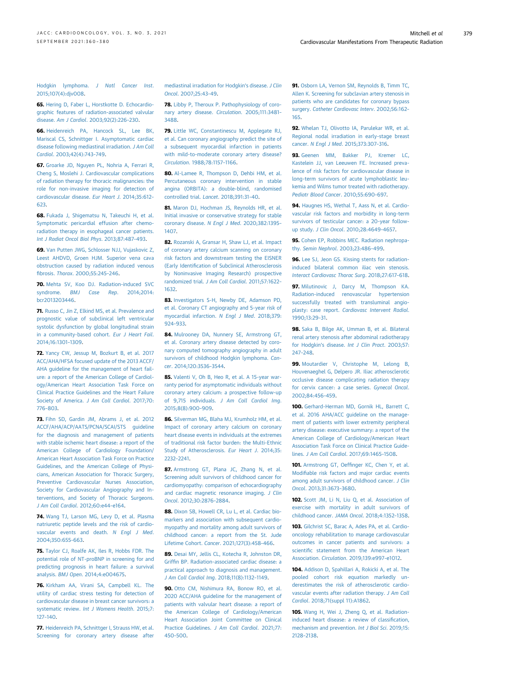Hodgkin lymphoma. J Natl Cancer Inst. 2015;107(4):djv008.

65. Hering D, Faber L, Horstkotte D. Echocardiographic features of radiation-associated valvular disease. Am J Cardiol. 2003;92(2):226–230.

66. Heidenreich PA, Hancock SL, Lee BK, Mariscal CS, Schnittger I. Asymptomatic cardiac disease following mediastinal irradiation. J Am Coll Cardiol. 2003;42(4):743–749.

67. Groarke JD, Nguyen PL, Nohria A, Ferrari R, Cheng S, Moslehi J. Cardiovascular complications of radiation therapy for thoracic malignancies: the role for non-invasive imaging for detection of cardiovascular disease. Eur Heart J. 2014;35:612– 623.

68. Fukada J, Shigematsu N, Takeuchi H, et al. Symptomatic pericardial effusion after chemoradiation therapy in esophageal cancer patients. Int J Radiat Oncol Biol Phys. 2013;87:487–493.

69. Van Putten JWG, Schlosser NJJ, Vujaskovic Z, Leest AHDVD, Groen HJM. Superior vena cava obstruction caused by radiation induced venous fibrosis. Thorax. 2000;55:245–246.

70. Mehta SV, Koo DJ. Radiation-induced SVC syndrome. BMJ Case Rep. 2014:2014: bcr2013203446.

71. Russo C, Jin Z, Elkind MS, et al. Prevalence and prognostic value of subclinical left ventricular systolic dysfunction by global longitudinal strain in a community-based cohort. Eur J Heart Fail. 2014;16:1301–1309.

72. Yancy CW, Jessup M, Bozkurt B, et al. 2017 ACC/AHA/HFSA focused update of the 2013 ACCF/ AHA guideline for the management of heart failure: a report of the American College of Cardiology/American Heart Association Task Force on Clinical Practice Guidelines and the Heart Failure Society of America. J Am Coll Cardiol. 2017;70: 776–803.

73. Fihn SD, Gardin JM, Abrams J, et al. 2012 ACCF/AHA/ACP/AATS/PCNA/SCAI/STS guideline for the diagnosis and management of patients with stable ischemic heart disease: a report of the American College of Cardiology Foundation/ American Heart Association Task Force on Practice Guidelines, and the American College of Physicians, American Association for Thoracic Surgery, Preventive Cardiovascular Nurses Association, Society for Cardiovascular Angiography and Interventions, and Society of Thoracic Surgeons. J Am Coll Cardiol. 2012;60:e44–e164.

74. Wang TJ, Larson MG, Levy D, et al. Plasma natriuretic peptide levels and the risk of cardiovascular events and death. N Engl J Med. 2004;350:655–663.

75. Taylor CJ, Roalfe AK, Iles R, Hobbs FDR. The potential role of NT-proBNP in screening for and predicting prognosis in heart failure: a survival analysis. BMJ Open. 2014;4:e004675.

76. Kirkham AA, Virani SA, Campbell KL. The utility of cardiac stress testing for detection of cardiovascular disease in breast cancer survivors: a systematic review. Int J Womens Health. 2015;7: 127–140.

77. Heidenreich PA, Schnittger I, Strauss HW, et al. Screening for coronary artery disease after mediastinal irradiation for Hodgkin's disease. J Clin Oncol. 2007;25:43–49.

78. Libby P, Theroux P. Pathophysiology of coronary artery disease. Circulation. 2005;111:3481– 3488.

79. Little WC, Constantinescu M, Applegate RJ, et al. Can coronary angiography predict the site of a subsequent myocardial infarction in patients with mild-to-moderate coronary artery disease? Circulation. 1988;78:1157–1166.

80. Al-Lamee R, Thompson D, Dehbi HM, et al. Percutaneous coronary intervention in stable angina (ORBITA): a double-blind, randomised controlled trial. Lancet. 2018;391:31–40.

81. Maron DJ, Hochman JS, Reynolds HR, et al. Initial invasive or conservative strategy for stable coronary disease. N Engl J Med. 2020;382:1395– 1407.

82. Rozanski A, Gransar H, Shaw LJ, et al. Impact of coronary artery calcium scanning on coronary risk factors and downstream testing the EISNER (Early Identification of Subclinical Atherosclerosis by Noninvasive Imaging Research) prospective randomized trial. J Am Coll Cardiol. 2011;57:1622– 1632.

83. Investigators S-H, Newby DE, Adamson PD, et al. Coronary CT angiography and 5-year risk of myocardial infarction. N Engl J Med. 2018;379: 924–933.

84. Mulrooney DA, Nunnery SE, Armstrong GT, et al. Coronary artery disease detected by coronary computed tomography angiography in adult survivors of childhood Hodgkin lymphoma. Cancer. 2014;120:3536–3544.

85. Valenti V, Oh B, Heo R, et al. A 15-year warranty period for asymptomatic individuals without coronary artery calcium: a prospective follow-up of 9,715 individuals. J Am Coll Cardiol Img. 2015;8(8):900–909.

86. Silverman MG, Blaha MJ, Krumholz HM, et al. Impact of coronary artery calcium on coronary heart disease events in individuals at the extremes of traditional risk factor burden: the Multi-Ethnic Study of Atherosclerosis. Eur Heart J. 2014;35: 2232–2241.

87. Armstrong GT, Plana JC, Zhang N, et al. Screening adult survivors of childhood cancer for cardiomyopathy: comparison of echocardiography and cardiac magnetic resonance imaging. J Clin Oncol. 2012;30:2876–2884.

88. Dixon SB, Howell CR, Lu L, et al. Cardiac biomarkers and association with subsequent cardiomyopathy and mortality among adult survivors of childhood cancer: a report from the St. Jude Lifetime Cohort. Cancer. 2021;127(3):458–466.

89. Desai MY, Jellis CL, Kotecha R, Johnston DR, Griffin BP. Radiation-associated cardiac disease: a practical approach to diagnosis and management. J Am Coll Cardiol Img. 2018;11(8):1132–1149.

90. Otto CM, Nishimura RA, Bonow RO, et al. 2020 ACC/AHA guideline for the management of patients with valvular heart disease: a report of the American College of Cardiology/American Heart Association Joint Committee on Clinical Practice Guidelines. J Am Coll Cardiol. 2021;77: 450–500.

91. Osborn LA, Vernon SM, Reynolds B, Timm TC, Allen K. Screening for subclavian artery stenosis in patients who are candidates for coronary bypass surgery. Catheter Cardiovasc Interv. 2002;56:162– 165.

92. Whelan TJ, Olivotto IA, Parulekar WR, et al. Regional nodal irradiation in early-stage breast cancer. N Engl J Med. 2015;373:307–316.

93. Geenen MM, Bakker PJ, Kremer LC, Kastelein JJ, van Leeuwen FE. Increased prevalence of risk factors for cardiovascular disease in long-term survivors of acute lymphoblastic leukemia and Wilms tumor treated with radiotherapy. Pediatr Blood Cancer. 2010;55:690–697.

94. Haugnes HS, Wethal T, Aass N, et al. Cardiovascular risk factors and morbidity in long-term survivors of testicular cancer: a 20-year followup study. J Clin Oncol. 2010;28:4649–4657.

95. Cohen EP, Robbins MEC. Radiation nephropathy. Semin Nephrol. 2003;23:486–499.

96. Lee SJ, Jeon GS. Kissing stents for radiationinduced bilateral common iliac vein stenosis. Interact Cardiovasc Thorac Surg. 2018;27:617–618.

97. Milutinovic J, Darcy M, Thompson KA. Radiation-induced renovascular hypertension successfully treated with transluminal angioplasty: case report. Cardiovasc Intervent Radiol. 1990;13:29–31.

98. Saka B, Bilge AK, Umman B, et al. Bilateral renal artery stenosis after abdominal radiotherapy for Hodgkin's disease. Int J Clin Pract. 2003;57: 247–248.

99. Moutardier V, Christophe M, Lelong B, Houvenaeghel G, Delpero JR. Iliac atherosclerotic occlusive disease complicating radiation therapy for cervix cancer: a case series. Gynecol Oncol. 2002;84:456–459.

100. Gerhard-Herman MD, Gornik HL, Barrett C, et al. 2016 AHA/ACC guideline on the management of patients with lower extremity peripheral artery disease: executive summary: a report of the American College of Cardiology/American Heart Association Task Force on Clinical Practice Guidelines. J Am Coll Cardiol. 2017;69:1465–1508.

101. Armstrong GT, Oeffinger KC, Chen Y, et al. Modifiable risk factors and major cardiac events among adult survivors of childhood cancer. J Clin Oncol. 2013;31:3673–3680.

102. Scott JM, Li N, Liu Q, et al. Association of exercise with mortality in adult survivors of childhood cancer. JAMA Oncol. 2018;4:1352–1358.

103. Gilchrist SC, Barac A, Ades PA, et al. Cardiooncology rehabilitation to manage cardiovascular outcomes in cancer patients and survivors: a scientific statement from the American Heart Association. Circulation. 2019;139:e997–e1012.

104. Addison D, Spahillari A, Rokicki A, et al. The pooled cohort risk equation markedly underestimates the risk of atherosclerotic cardiovascular events after radiation therapy. J Am Coll Cardiol. 2018;71(suppl 11):A1862.

105. Wang H, Wei J, Zheng O, et al. Radiationinduced heart disease: a review of classification, mechanism and prevention. Int J Biol Sci. 2019;15: 2128–2138.